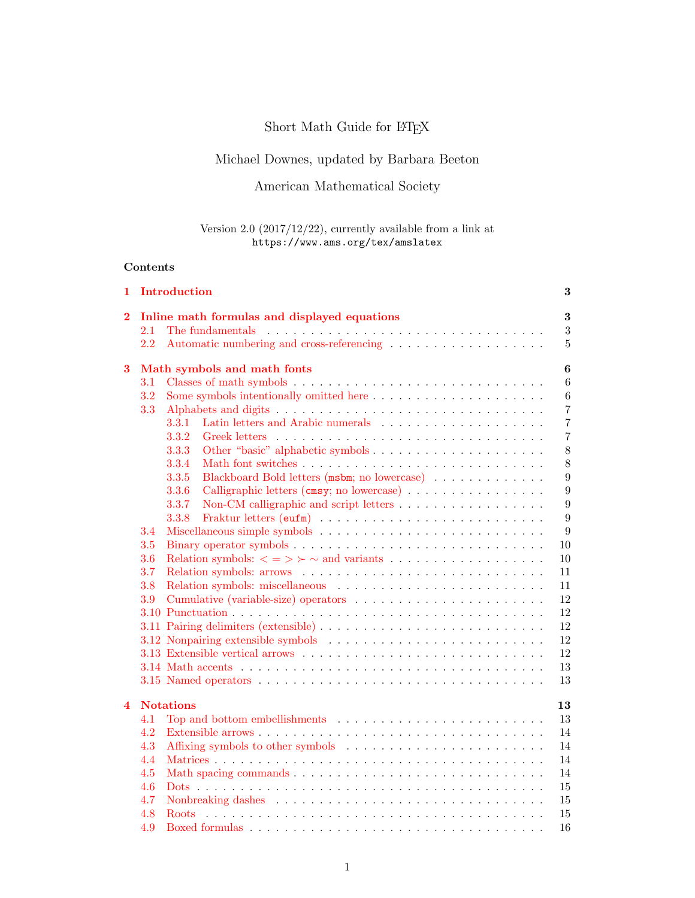# Short Math Guide for  $\mathbb{MT}_{\widetilde{E}}X$

## Michael Downes, updated by Barbara Beeton

### American Mathematical Society

### Version 2.0 (2017/12/22), currently available from a link at https://www.ams.org/tex/amslatex

### Contents

| 1                       |                                                          | Introduction                                                                          | 3                |  |  |  |
|-------------------------|----------------------------------------------------------|---------------------------------------------------------------------------------------|------------------|--|--|--|
| 2                       | $\bf{3}$<br>Inline math formulas and displayed equations |                                                                                       |                  |  |  |  |
|                         | $2.1\,$                                                  | The fundamentals                                                                      | $\boldsymbol{3}$ |  |  |  |
|                         | 2.2                                                      | Automatic numbering and cross-referencing $\dots \dots \dots \dots \dots \dots \dots$ | $\overline{5}$   |  |  |  |
| 3                       |                                                          | Math symbols and math fonts                                                           | $\bf{6}$         |  |  |  |
|                         | 3.1                                                      |                                                                                       | $6\phantom{.}6$  |  |  |  |
|                         | 3.2                                                      | Some symbols intentionally omitted here                                               | $\,6\,$          |  |  |  |
|                         | 3.3                                                      |                                                                                       | $\overline{7}$   |  |  |  |
|                         |                                                          | 3.3.1                                                                                 | $\overline{7}$   |  |  |  |
|                         |                                                          | 3.3.2                                                                                 | $\overline{7}$   |  |  |  |
|                         |                                                          | 3.3.3                                                                                 | 8                |  |  |  |
|                         |                                                          | 3.3.4                                                                                 | 8                |  |  |  |
|                         |                                                          | Blackboard Bold letters (msbm; no lowercase)<br>3.3.5                                 | $\boldsymbol{9}$ |  |  |  |
|                         |                                                          | 3.3.6<br>Calligraphic letters (cmsy; no lowercase)                                    | $\boldsymbol{9}$ |  |  |  |
|                         |                                                          | Non-CM calligraphic and script letters<br>3.3.7                                       | 9                |  |  |  |
|                         |                                                          | 3.3.8                                                                                 | 9                |  |  |  |
|                         | 3.4                                                      |                                                                                       | 9                |  |  |  |
|                         | 3.5                                                      |                                                                                       | 10               |  |  |  |
|                         | 3.6                                                      | Relation symbols: $\langle \; = \; \rangle \; \rangle \sim$ and variants              | 10               |  |  |  |
|                         | 3.7                                                      |                                                                                       | 11               |  |  |  |
|                         | 3.8                                                      |                                                                                       | 11               |  |  |  |
|                         | 3.9                                                      |                                                                                       | 12               |  |  |  |
|                         |                                                          |                                                                                       | 12               |  |  |  |
|                         |                                                          |                                                                                       | 12               |  |  |  |
|                         |                                                          |                                                                                       | 12               |  |  |  |
|                         |                                                          |                                                                                       | 12               |  |  |  |
|                         |                                                          |                                                                                       | 13               |  |  |  |
|                         |                                                          |                                                                                       | 13               |  |  |  |
| $\overline{\mathbf{4}}$ |                                                          | <b>Notations</b>                                                                      | 13               |  |  |  |
|                         | 4.1                                                      |                                                                                       | 13               |  |  |  |
|                         | 4.2                                                      |                                                                                       | 14               |  |  |  |
|                         | 4.3                                                      |                                                                                       | 14               |  |  |  |
|                         | 4.4                                                      |                                                                                       | 14               |  |  |  |
|                         | 4.5                                                      |                                                                                       | 14               |  |  |  |
|                         | 4.6                                                      |                                                                                       | 15               |  |  |  |
|                         | 4.7                                                      |                                                                                       | 15               |  |  |  |
|                         | 4.8                                                      | <b>Roots</b>                                                                          | 15               |  |  |  |
|                         | 4.9                                                      |                                                                                       | 16               |  |  |  |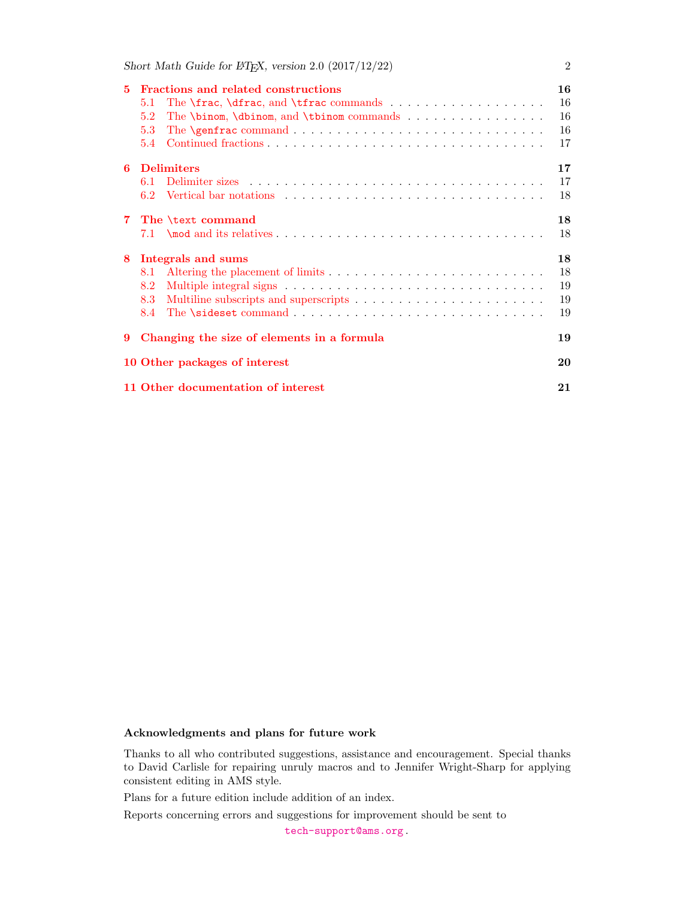| 5.             | Fractions and related constructions                                                                 | 16 |
|----------------|-----------------------------------------------------------------------------------------------------|----|
|                | 5.1                                                                                                 | 16 |
|                | The $\binom{\text{dbinom}, \text{and } \text{tbinom} \text{ commands } \ldots \ldots \ldots$<br>5.2 | 16 |
|                | 5.3                                                                                                 | 16 |
|                | 5.4                                                                                                 | 17 |
| 6              | <b>Delimiters</b>                                                                                   | 17 |
|                | 6.1                                                                                                 | 17 |
|                | 6.2                                                                                                 | 18 |
| $\overline{7}$ | The \text command                                                                                   | 18 |
|                |                                                                                                     | 18 |
| 8              | Integrals and sums                                                                                  | 18 |
|                | 8.1                                                                                                 | 18 |
|                | 8.2                                                                                                 | 19 |
|                | 8.3                                                                                                 | 19 |
|                | 8.4                                                                                                 | 19 |
| 9              | Changing the size of elements in a formula                                                          | 19 |
|                | 10 Other packages of interest                                                                       | 20 |
|                | 11 Other documentation of interest                                                                  | 21 |

#### Acknowledgments and plans for future work

Thanks to all who contributed suggestions, assistance and encouragement. Special thanks to David Carlisle for repairing unruly macros and to Jennifer Wright-Sharp for applying consistent editing in AMS style.

Plans for a future edition include addition of an index.

Reports concerning errors and suggestions for improvement should be sent to

[tech-support@ams.org](mailto:tech-support@ams.org) .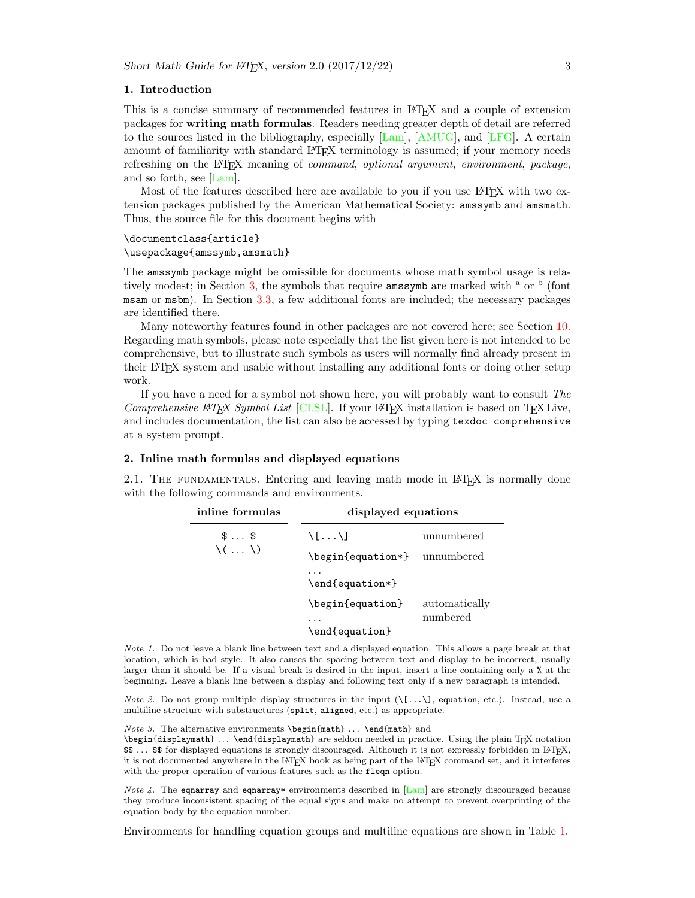#### <span id="page-2-0"></span>1. Introduction

This is a concise summary of recommended features in LATEX and a couple of extension packages for writing math formulas. Readers needing greater depth of detail are referred to the sources listed in the bibliography, especially [\[Lam\]](#page-20-1), [\[AMUG\]](#page-20-2), and [\[LFG\]](#page-20-3). A certain amount of familiarity with standard LAT<sub>EX</sub> terminology is assumed; if your memory needs refreshing on the LATEX meaning of *command, optional argument, environment, package,* and so forth, see [\[Lam\]](#page-20-1).

Most of the features described here are available to you if you use LATEX with two extension packages published by the American Mathematical Society: amssymb and amsmath. Thus, the source file for this document begins with

#### \documentclass{article}

#### \usepackage{amssymb,amsmath}

The amssymb package might be omissible for documents whose math symbol usage is rela-tively modest; in Section [3,](#page-5-0) the symbols that require amssymb are marked with <sup>a</sup> or <sup>b</sup> (font msam or msbm). In Section [3.3,](#page-6-0) a few additional fonts are included; the necessary packages are identified there.

Many noteworthy features found in other packages are not covered here; see Section [10.](#page-19-0) Regarding math symbols, please note especially that the list given here is not intended to be comprehensive, but to illustrate such symbols as users will normally find already present in their LATEX system and usable without installing any additional fonts or doing other setup work.

If you have a need for a symbol not shown here, you will probably want to consult The Comprehensive  $\angle$ FEX Symbol List [\[CLSL\]](#page-20-4). If your L<sup>AT</sup>EX installation is based on TEX Live, and includes documentation, the list can also be accessed by typing texdoc comprehensive at a system prompt.

#### <span id="page-2-1"></span>2. Inline math formulas and displayed equations

<span id="page-2-2"></span>2.1. THE FUNDAMENTALS. Entering and leaving math mode in L<sup>AT</sup>EX is normally done with the following commands and environments.

| inline formulas              | displayed equations         |               |  |
|------------------------------|-----------------------------|---------------|--|
| $\text{\$} \ldots \text{\$}$ | $\setminus$ [ $\setminus$ ] | unnumbered    |  |
| $\langle \ldots \rangle$     | \begin{equation*}           | unnumbered    |  |
|                              | \end{equation*}             |               |  |
|                              | \begin{equation}            | automatically |  |
|                              | \end{equation}              | numbered      |  |

Note 1. Do not leave a blank line between text and a displayed equation. This allows a page break at that location, which is bad style. It also causes the spacing between text and display to be incorrect, usually larger than it should be. If a visual break is desired in the input, insert a line containing only a % at the beginning. Leave a blank line between a display and following text only if a new paragraph is intended.

*Note 2.* Do not group multiple display structures in the input  $(\{.\,.\,,\}]$ , equation, etc.). Instead, use a multiline structure with substructures (split, aligned, etc.) as appropriate.

Note 3. The alternative environments \begin{math}  $\dots$  \end{math} and

\begin{displaymath} ... \end{displaymath} are seldom needed in practice. Using the plain TFX notation \$\$ . . . \$\$ for displayed equations is strongly discouraged. Although it is not expressly forbidden in LATEX, it is not documented anywhere in the LATEX book as being part of the LATEX command set, and it interferes with the proper operation of various features such as the fleqn option.

*Note 4.* The equarray and equarray\* environments described in  $\text{Lam}$  are strongly discouraged because they produce inconsistent spacing of the equal signs and make no attempt to prevent overprinting of the equation body by the equation number.

Environments for handling equation groups and multiline equations are shown in Table [1.](#page-3-0)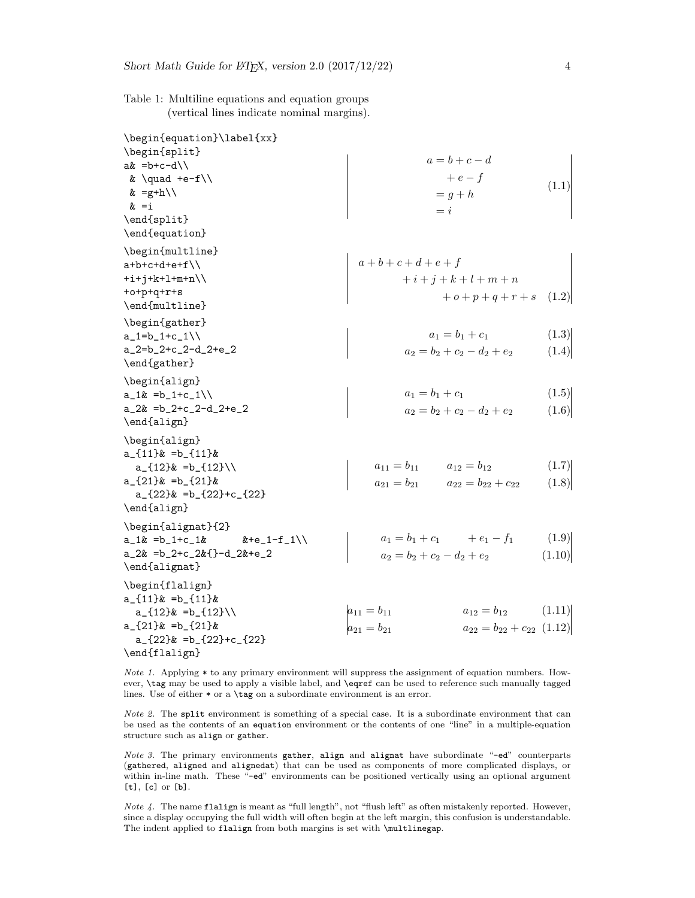<span id="page-3-0"></span>Table 1: Multiline equations and equation groups (vertical lines indicate nominal margins).

| \begin{equation}\label{xx}         |                                                        |        |
|------------------------------------|--------------------------------------------------------|--------|
| \begin{split}                      |                                                        |        |
| $ak = b + c - d$                   | $a=b+c-d$                                              |        |
| & $\quad +e-f/\$                   | $+e-f$                                                 |        |
| & =g+h\\                           | $= g + h$                                              |        |
| $\&$ =i                            | $= i$                                                  |        |
| \end{split}                        |                                                        |        |
| \end{equation}                     |                                                        |        |
| \begin{multline}                   |                                                        |        |
| $a+b+c+d+ef \wedge$                | $a + b + c + d + e + f$                                |        |
| $+i+j+k+1+m+n\backslash\backslash$ |                                                        |        |
|                                    | $+i+j+k+l+m+n$                                         |        |
| $+o+p+q+r+s$<br>\end{multline}     | $+ o + p + q + r + s$                                  | (1.2)  |
|                                    |                                                        |        |
| \begin{gather}                     |                                                        |        |
| $a_1=b_1+c_1\$                     | $a_1 = b_1 + c_1$                                      | (1.3)  |
| $a_{2}=b_{2}+c_{2}-d_{2}+e_{2}$    | $a_2 = b_2 + c_2 - d_2 + e_2$                          | (1.4)  |
| \end{gather}                       |                                                        |        |
| \begin{align}                      |                                                        |        |
| $a_1\& =b_1+c_1\$                  | $a_1 = b_1 + c_1$                                      | (1.5)  |
| $a_2x = b_2+c_2-d_2+e_2$           | $a_2 = b_2 + c_2 - d_2 + e_2$                          | (1.6)  |
| \end{align}                        |                                                        |        |
| \begin{align}                      |                                                        |        |
| $a_{11}$ $k = b_{11}$              |                                                        |        |
| $a_{12}$ =b_{12}\\                 | $a_{11} = b_{11}$ $a_{12} = b_{12}$                    | (1.7)  |
| $a_{21}$ =b_{21} &                 | $a_{21} = b_{21}$ $a_{22} = b_{22} + c_{22}$           | (1.8)  |
| $a_{22}$ =b_{22}+c_{22}}           |                                                        |        |
| \end{align}                        |                                                        |        |
|                                    |                                                        |        |
| \begin{alignat}{2}                 |                                                        |        |
|                                    | $a_1 = b_1 + c_1 + e_1 - f_1$                          | (1.9)  |
| $a_2x = b_2+c_2x$ {}-d_2&+e_2      | $a_2 = b_2 + c_2 - d_2 + e_2$                          | (1.10) |
| \end{alignat}                      |                                                        |        |
| \begin{flalign}                    |                                                        |        |
| $a_{-11}$ $\&$ =b_{11} $\&$        |                                                        |        |
| $a_{12}$ =b_{12}\\                 | $ a_{11} = b_{11} $<br>$a_{12} = b_{12}$               | (1.11) |
| $a_{121}$ =b <sub>(21</sub> } $\&$ | $a_{22} = b_{22} + c_{22} (1.12)$<br>$a_{21} = b_{21}$ |        |
| $a_{22}$ =b_{22}+c_{22}}           |                                                        |        |
| \end{flalign}                      |                                                        |        |

Note 1. Applying \* to any primary environment will suppress the assignment of equation numbers. However, \tag may be used to apply a visible label, and \eqref can be used to reference such manually tagged lines. Use of either  $*$  or a \tag on a subordinate environment is an error.

Note 2. The split environment is something of a special case. It is a subordinate environment that can be used as the contents of an equation environment or the contents of one "line" in a multiple-equation structure such as align or gather.

Note 3. The primary environments gather, align and alignat have subordinate "-ed" counterparts (gathered, aligned and alignedat) that can be used as components of more complicated displays, or within in-line math. These "-ed" environments can be positioned vertically using an optional argument [t], [c] or [b].

Note 4. The name flalign is meant as "full length", not "flush left" as often mistakenly reported. However, since a display occupying the full width will often begin at the left margin, this confusion is understandable. The indent applied to flalign from both margins is set with \multlinegap.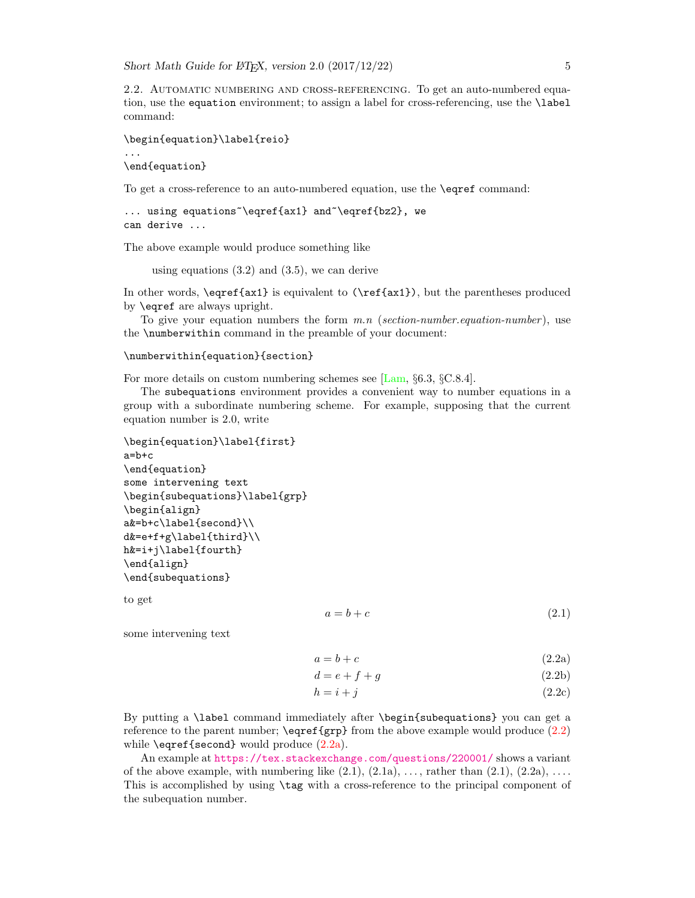<span id="page-4-0"></span>2.2. Automatic numbering and cross-referencing. To get an auto-numbered equation, use the equation environment; to assign a label for cross-referencing, use the \label command:

```
\begin{equation}\label{reio}
```
... \end{equation}

To get a cross-reference to an auto-numbered equation, use the \eqref command:

```
... using equations~\eqref{ax1} and~\eqref{bz2}, we
can derive ...
```
The above example would produce something like

using equations (3.2) and (3.5), we can derive

In other words,  $\sqrt{\{ax1}$  is equivalent to  $(\ref{ax1})$ , but the parentheses produced by \eqref are always upright.

To give your equation numbers the form  $m.n$  (section-number.equation-number), use the \numberwithin command in the preamble of your document:

```
\numberwithin{equation}{section}
```
For more details on custom numbering schemes see [\[Lam,](#page-20-1) §6.3, §C.8.4].

The subequations environment provides a convenient way to number equations in a group with a subordinate numbering scheme. For example, supposing that the current equation number is 2.0, write

```
\begin{equation}\label{first}
a=b+c
\end{equation}
some intervening text
\begin{subequations}\label{grp}
\begin{align}
a&=b+c\label{second}\\
d&=e+f+g\label{third}\\
h&=i+j\label{fourth}
\end{align}
\end{subequations}
```
to get

<span id="page-4-2"></span>
$$
a = b + c \tag{2.1}
$$

some intervening text

<span id="page-4-1"></span> $a = b + c$  (2.2a)

$$
d = e + f + g \tag{2.2b}
$$

$$
h = i + j \tag{2.2c}
$$

By putting a \label command immediately after \begin{subequations} you can get a reference to the parent number;  $\equiv$   $\equiv$  from the above example would produce [\(2.2\)](#page-4-1) while  $\equiv$  {second} would produce  $(2.2a)$ .

An example at <https://tex.stackexchange.com/questions/220001/> shows a variant of the above example, with numbering like  $(2.1), (2.1a), \ldots$ , rather than  $(2.1), (2.2a), \ldots$ . This is accomplished by using \tag with a cross-reference to the principal component of the subequation number.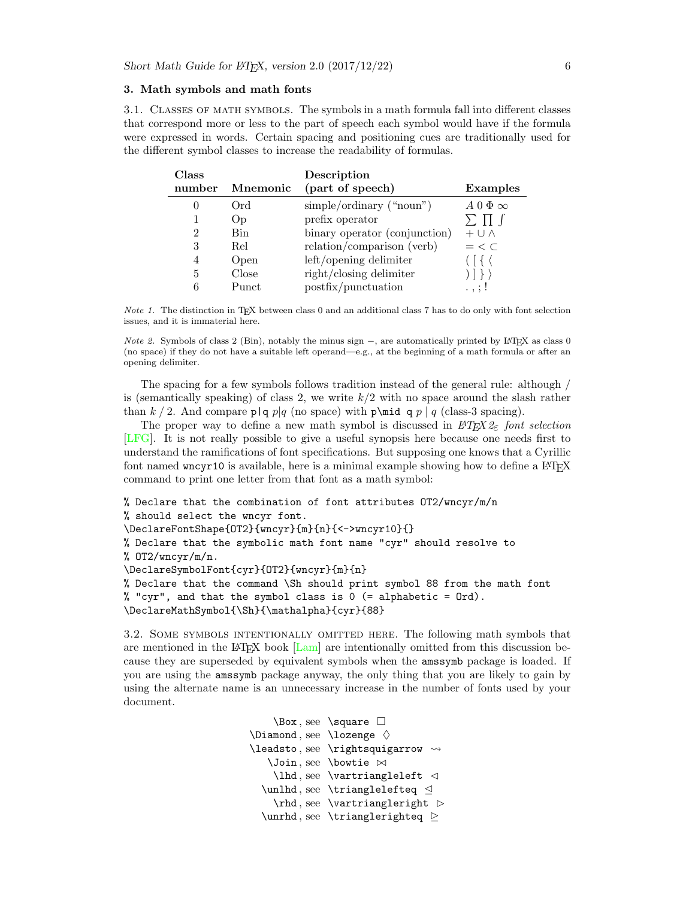#### <span id="page-5-0"></span>3. Math symbols and math fonts

<span id="page-5-1"></span>3.1. Classes of math symbols. The symbols in a math formula fall into different classes that correspond more or less to the part of speech each symbol would have if the formula were expressed in words. Certain spacing and positioning cues are traditionally used for the different symbol classes to increase the readability of formulas.

| Class  |            | Description                   |                     |
|--------|------------|-------------------------------|---------------------|
| number | Mnemonic   | (part of speech)              | <b>Examples</b>     |
|        | Ord        | $simple/ordinary$ ("noun")    | $A\,0\,\Phi \infty$ |
|        | <b>Op</b>  | prefix operator               | $\Sigma$ 11         |
| 2      | <b>Bin</b> | binary operator (conjunction) | $+$ U $\wedge$      |
| 3      | Rel        | relation/comparison (verb)    | $=$ < $\subset$     |
| 4      | Open       | left/opening delimiter        |                     |
| 5      | Close      | right/closing delimiter       |                     |
|        | Punct      | postfix/punctuation           | $\ldots$ ; !        |

Note 1. The distinction in TEX between class 0 and an additional class 7 has to do only with font selection issues, and it is immaterial here.

*Note 2.* Symbols of class 2 (Bin), notably the minus sign  $-$ , are automatically printed by LATEX as class 0 (no space) if they do not have a suitable left operand—e.g., at the beginning of a math formula or after an opening delimiter.

The spacing for a few symbols follows tradition instead of the general rule: although / is (semantically speaking) of class 2, we write  $k/2$  with no space around the slash rather than k / 2. And compare p|q p|q (no space) with p\mid q p | q (class-3 spacing).

The proper way to define a new math symbol is discussed in  $\mathcal{L}T_F X \mathcal{Z}_{\varepsilon}$  font selection [\[LFG\]](#page-20-3). It is not really possible to give a useful synopsis here because one needs first to understand the ramifications of font specifications. But supposing one knows that a Cyrillic font named wncyr10 is available, here is a minimal example showing how to define a LAT<sub>EX</sub> command to print one letter from that font as a math symbol:

```
% Declare that the combination of font attributes OT2/wncyr/m/n
% should select the wncyr font.
\DeclareFontShape{OT2}{wncyr}{m}{n}{<->wncyr10}{}
% Declare that the symbolic math font name "cyr" should resolve to
% OT2/wncyr/m/n.
\DeclareSymbolFont{cyr}{OT2}{wncyr}{m}{n}
% Declare that the command \Sh should print symbol 88 from the math font
% "cyr", and that the symbol class is 0 (= alphabetic = Ord).
\DeclareMathSymbol{\Sh}{\mathalpha}{cyr}{88}
```
<span id="page-5-2"></span>3.2. Some symbols intentionally omitted here. The following math symbols that are mentioned in the LATEX book  $\text{Lam}$  are intentionally omitted from this discussion because they are superseded by equivalent symbols when the amssymb package is loaded. If you are using the amssymb package anyway, the only thing that you are likely to gain by using the alternate name is an unnecessary increase in the number of fonts used by your document.

```
\Box , see \square 
\Delta, see \lambdaozenge \diamond\leadsto, see \rightsquigarrow \rightsquigarrow\lambda, see \lambdabowtie \bowtie\lambda, see \vartheta artriangleleft \vartheta\unlhd, see \ttriangleleftfteq \triangleleft\theta, see \vartheta\unrhd, see \ttriangleright
```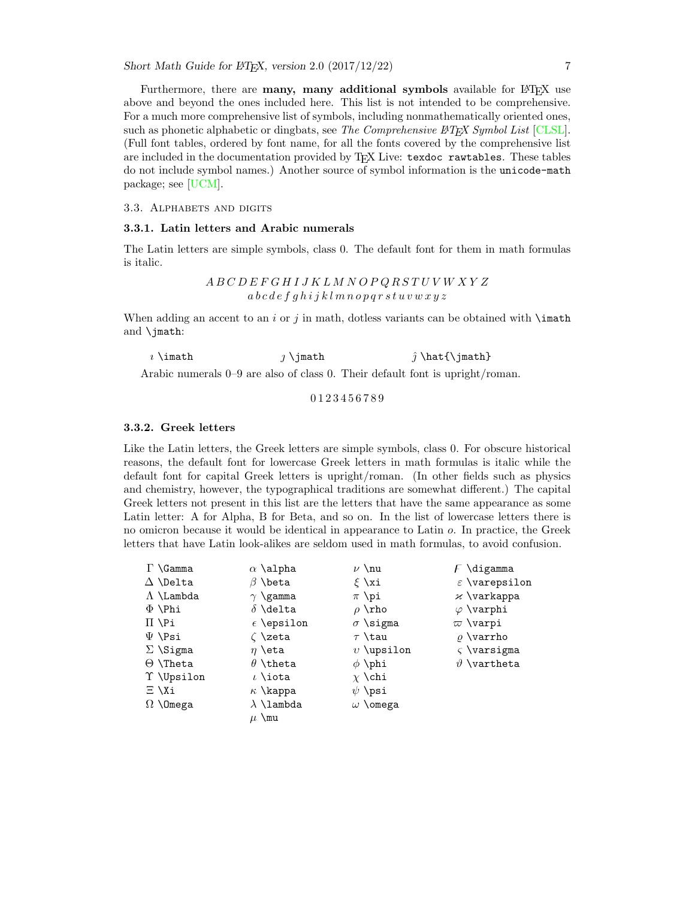Furthermore, there are **many, many additional symbols** available for LAT<sub>EX</sub> use above and beyond the ones included here. This list is not intended to be comprehensive. For a much more comprehensive list of symbols, including nonmathematically oriented ones, such as phonetic alphabetic or dingbats, see The Comprehensive  $\cancel{B}T_F X$  Symbol List [\[CLSL\]](#page-20-4). (Full font tables, ordered by font name, for all the fonts covered by the comprehensive list are included in the documentation provided by TEX Live: texdoc rawtables. These tables do not include symbol names.) Another source of symbol information is the unicode-math package; see [\[UCM\]](#page-20-5).

<span id="page-6-0"></span>3.3. ALPHABETS AND DIGITS

#### <span id="page-6-1"></span>3.3.1. Latin letters and Arabic numerals

The Latin letters are simple symbols, class 0. The default font for them in math formulas is italic.

> A B C D E F G H I J K L M N O P Q R S T U V W X Y Z  $a \, b \, c \, d \, e \, f \, q \, h \, i \, j \, k \, l \, m \, n \, o \, p \, q \, r \, s \, t \, u \, v \, w \, x \, y \, z$

When adding an accent to an i or j in math, dotless variants can be obtained with  $\mathcal{L}$ and \jmath:

 $\hat{i}$  \imath  $\hat{j}$  \imath  $\hat{j}$  \hat{\jmath}

Arabic numerals 0–9 are also of class 0. Their default font is upright/roman.

### 0 1 2 3 4 5 6 7 8 9

#### <span id="page-6-2"></span>3.3.2. Greek letters

Like the Latin letters, the Greek letters are simple symbols, class 0. For obscure historical reasons, the default font for lowercase Greek letters in math formulas is italic while the default font for capital Greek letters is upright/roman. (In other fields such as physics and chemistry, however, the typographical traditions are somewhat different.) The capital Greek letters not present in this list are the letters that have the same appearance as some Latin letter: A for Alpha, B for Beta, and so on. In the list of lowercase letters there is no omicron because it would be identical in appearance to Latin o. In practice, the Greek letters that have Latin look-alikes are seldom used in math formulas, to avoid confusion.

| $\Gamma \setminus$ Gamma | $\alpha$ \alpha     | $\nu \nu$          | $\overline{F}$ \digamma   |
|--------------------------|---------------------|--------------------|---------------------------|
| $\Delta$ \Delta          | $\beta$ \beta       | $\xi$ \xi          | $\varepsilon$ \varepsilon |
| $\Lambda$ \Lambda        | $\gamma$ \gamma     | $\pi$ \pi          | $\times$ \varkappa        |
| $\Phi$ \Phi              | $\delta$ \delta     | $\rho \rightarrow$ | $\varphi$ \varphi         |
| $\Pi \$                  | $\epsilon$ \epsilon | $\sigma$ \sigma    | $\varpi$ \varpi           |
| $\Psi$ \Psi              | $\zeta$ \zeta       | $\tau$ \tau        | $\rho$ \varrho            |
| $\Sigma$ \Sigma          | $\eta$ \eta         | $v \rightarrow v$  | $\zeta$ \varsigma         |
| $\Theta$ \Theta          | $\theta$ \theta     | $\phi$ \phi        | $\vartheta$ \vartheta     |
| T \Upsilon               | $\iota$ \iota       | $\chi \chi$        |                           |
| $\Xi \setminus X$ i      | $\kappa$ \kappa     | $\psi$ \psi        |                           |
| $\Omega$ \Omega          | $\lambda$ \lambda   | $\omega$ \omega    |                           |
|                          | $\mu$ \mu           |                    |                           |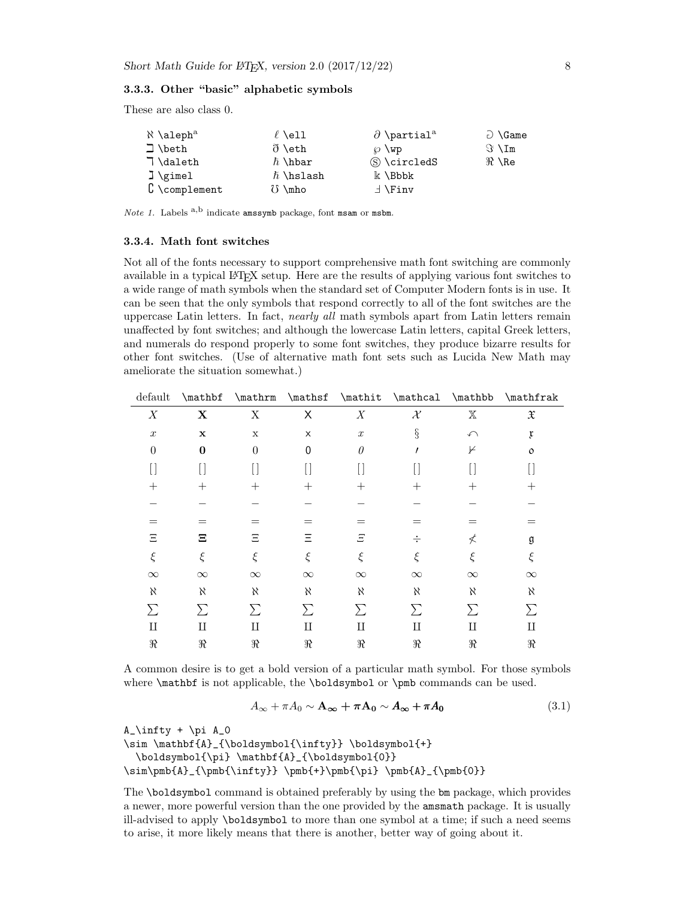### <span id="page-7-0"></span>3.3.3. Other "basic" alphabetic symbols

These are also class 0.

| $\aleph$ \aleph <sup>a</sup>              | $\ell$ \ell     | $\partial$ \partial <sup>a</sup> | $\supset$ \Game     |
|-------------------------------------------|-----------------|----------------------------------|---------------------|
| $\Box$ \beth                              | ð \eth          | $\varnothing$ \wp                | $\Im \ \mathrm{Im}$ |
| 7 \daleth                                 | $\hbar$ \hbar   | S \circledS                      | $\Re \ \Re$         |
| $\exists$ \gimel                          | $\hbar$ \hslash | $\Bbbk$ \Bbbk                    |                     |
| $\complement \setminus \text{complement}$ | $\delta$ \mho   | $\exists$ \Finv                  |                     |

*Note 1.* Labels  $a,b$  indicate amssymb package, font msam or msbm.

#### <span id="page-7-1"></span>3.3.4. Math font switches

Not all of the fonts necessary to support comprehensive math font switching are commonly available in a typical LATEX setup. Here are the results of applying various font switches to a wide range of math symbols when the standard set of Computer Modern fonts is in use. It can be seen that the only symbols that respond correctly to all of the font switches are the uppercase Latin letters. In fact, nearly all math symbols apart from Latin letters remain unaffected by font switches; and although the lowercase Latin letters, capital Greek letters, and numerals do respond properly to some font switches, they produce bizarre results for other font switches. (Use of alternative math font sets such as Lucida New Math may ameliorate the situation somewhat.)

| default          | \mathbf     | \mathrm     | \mathsf        | \mathit          | $\mathcal{L}$ | \mathbb           | \mathfrak           |
|------------------|-------------|-------------|----------------|------------------|---------------|-------------------|---------------------|
| X                | $\mathbf X$ | X           | X              | $\boldsymbol{X}$ | $\mathcal{X}$ | $\mathbb X$       | $\mathfrak X$       |
| $\boldsymbol{x}$ | $\mathbf x$ | $\mathbf X$ | $\pmb{\times}$ | $\boldsymbol{x}$ | $\S$          | $\curvearrowleft$ | $\mathfrak x$       |
| $\theta$         | $\bf{0}$    | $\theta$    | $\mathbf 0$    | $\theta$         |               | ⊬                 | $\circ$             |
|                  |             |             |                |                  |               |                   |                     |
| $^+$             | $\pm$       | $\pm$       | $^{+}$         | $^{+}$           | $^+$          | $^{+}$            | $\hspace{.011cm} +$ |
|                  |             |             |                |                  |               |                   |                     |
|                  | $=$         | $=$         | $=$            | $=$              | =             | $=$               | $=$                 |
| Ξ                | Ξ           | Ξ           | Ξ              | Ξ                | ÷             | ≮                 | g                   |
| $\xi$            | $\xi$       | ξ           | $\xi$          | ξ                | ξ             | ξ                 | ξ                   |
| $\infty$         | $\infty$    | $\infty$    | $\infty$       | $\infty$         | $\infty$      | $\infty$          | $\infty$            |
| X                | К           | K           | X              | X                | X             | X                 | K                   |
| $\sum$           | Σ           | Σ           | Σ              | Σ                | $\sum$        | $\sum$            | Σ                   |
| П                | П           | П           | П              | П                | П             | П                 | П                   |
| $\Re$            | $\Re$       | $\Re$       | $\Re$          | $\Re$            | R             | $\Re$             | $\Re$               |
|                  |             |             |                |                  |               |                   |                     |

A common desire is to get a bold version of a particular math symbol. For those symbols where  $\mathbf{f}$  is not applicable, the  $\boldsymbol{\bullet}$  or  $\boldsymbol{\bullet}$  commands can be used.

$$
A_{\infty} + \pi A_0 \sim \mathbf{A}_{\infty} + \pi \mathbf{A}_0 \sim A_{\infty} + \pi A_0 \tag{3.1}
$$

 $A_\infty + \pi A_0$ 

\sim \mathbf{A}\_{\boldsymbol{\infty}} \boldsymbol{+} \boldsymbol{\pi} \mathbf{A}\_{\boldsymbol{0}} \sim\pmb{A}\_{\pmb{\infty}} \pmb{+}\pmb{\pi} \pmb{A}\_{\pmb{0}}

The \boldsymbol command is obtained preferably by using the bm package, which provides a newer, more powerful version than the one provided by the amsmath package. It is usually ill-advised to apply \boldsymbol to more than one symbol at a time; if such a need seems to arise, it more likely means that there is another, better way of going about it.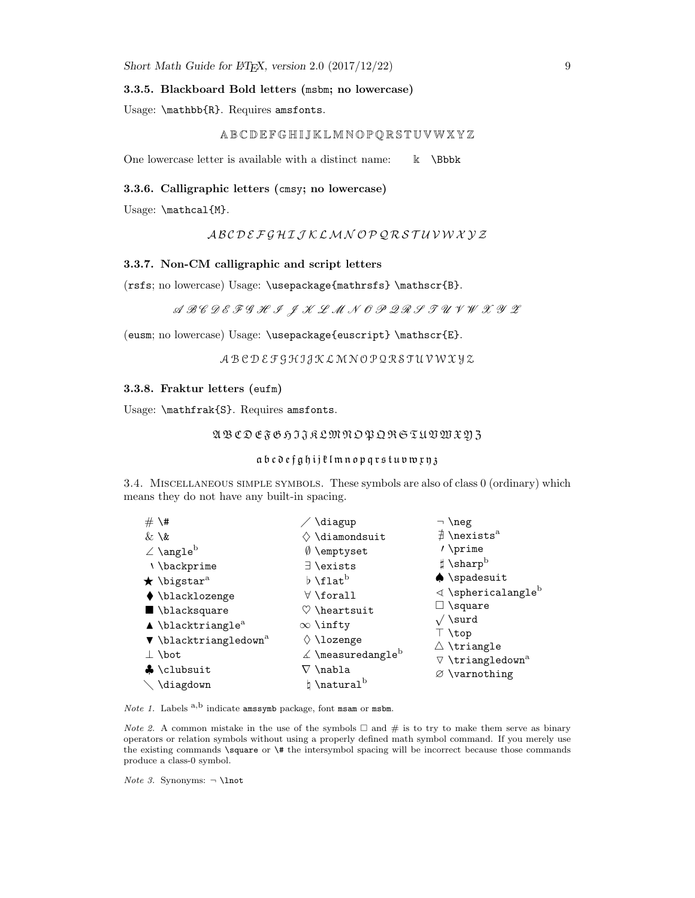#### <span id="page-8-0"></span>3.3.5. Blackboard Bold letters (msbm; no lowercase)

Usage: \mathbb{R}. Requires amsfonts.

### A B C D E F G H I J K L M N O P Q R S T U VW X Y Z

One lowercase letter is available with a distinct name:  $\& \Bbb \Bbbk$ 

### <span id="page-8-1"></span>3.3.6. Calligraphic letters (cmsy; no lowercase)

Usage: \mathcal{M}.

### A B C D E F G H I J K LM N O P Q R S T U V W X Y Z

### <span id="page-8-2"></span>3.3.7. Non-CM calligraphic and script letters

(rsfs; no lowercase) Usage: \usepackage{mathrsfs} \mathscr{B}.

### $\mathcal{A}\ \mathcal{B}\mathcal{C}\ \mathcal{D}\ \mathcal{E}\ \mathcal{F}\ \mathcal{G}\ \mathcal{H}\ \mathcal{I}\ \ \mathcal{J}\ \mathcal{X}\ \mathcal{L}\ \mathcal{M}\ \mathcal{N}\ \mathcal{O}\ \mathcal{P}\ \mathcal{Q}\ \mathcal{R}\ \mathcal{F}\ \mathcal{I}\ \mathcal{U}\ \mathcal{V}\ \mathcal{W}\ \mathcal{X}\ \mathcal{Y}\ \mathcal{Z}$

(eusm; no lowercase) Usage: \usepackage{euscript} \mathscr{E}.

### A B C D E F G H I J K L M N O P Q R S T U V W X Y Z

#### <span id="page-8-3"></span>3.3.8. Fraktur letters (eufm)

Usage: \mathfrak{S}. Requires amsfonts.

### A B C D E F G H I J K LM N O P Q R S T U VW X Y Z

#### a b c d e f g h i j  $\ell$  l m n o p q r s t u v w x y 3

<span id="page-8-4"></span>3.4. Miscellaneous simple symbols. These symbols are also of class 0 (ordinary) which means they do not have any built-in spacing.

| $# \nightharpoonup$ #                        | \diagup                                      | $\neg$ \neg                                                       |
|----------------------------------------------|----------------------------------------------|-------------------------------------------------------------------|
| $\&\setminus\&$                              | $\diamondsuit$ \diamondsuit                  | $\exists$ \nexists <sup>a</sup>                                   |
| $\angle$ \angle <sup>b</sup>                 | $\emptyset$ \emptyset                        | $\prime$ \prime                                                   |
| \\backprime                                  | $\exists$ \exists                            | $\sharp$ \sharp <sup>b</sup>                                      |
| $\star$ \bigstar <sup>a</sup>                | $\flat$ \flat $^{\rm b}$                     | $\blacklozenge$ \spadesuit                                        |
| $\blacklozenge$ \blacklozenge                | $\forall$ \forall                            | $\triangleleft$ \sphericalangle <sup>b</sup>                      |
| $\blacksquare$ \blacksquare                  | $\heartsuit$ \heartsuit                      | $\Box$ \square                                                    |
| $\blacktriangle$ \blacktriangle <sup>a</sup> | $\infty$ \infty                              | $\sqrt{\sqrt{3}}$                                                 |
| $\nabla$ \blacktriangledown <sup>a</sup>     | $\Diamond$ \lozenge                          | $\top$ \top                                                       |
| $\perp$ \bot                                 | $\measuredangle$ \measuredangle <sup>b</sup> | $\triangle$ \triangle<br>$\nabla \setminus \text{triangledown}^a$ |
| $\bullet$ \clubsuit                          | $\nabla \setminus \mathtt{nabla}$            | $\varnothing$ \varnothing                                         |
| $\setminus$ \diagdown                        | $\natural \hat{\mathcal{L}}$                 |                                                                   |

*Note 1.* Labels  $a,b$  indicate amssymb package, font msam or msbm.

*Note 2.* A common mistake in the use of the symbols  $\Box$  and # is to try to make them serve as binary operators or relation symbols without using a properly defined math symbol command. If you merely use the existing commands \square or \# the intersymbol spacing will be incorrect because those commands produce a class-0 symbol.

Note 3. Synonyms:  $\neg$  \lnot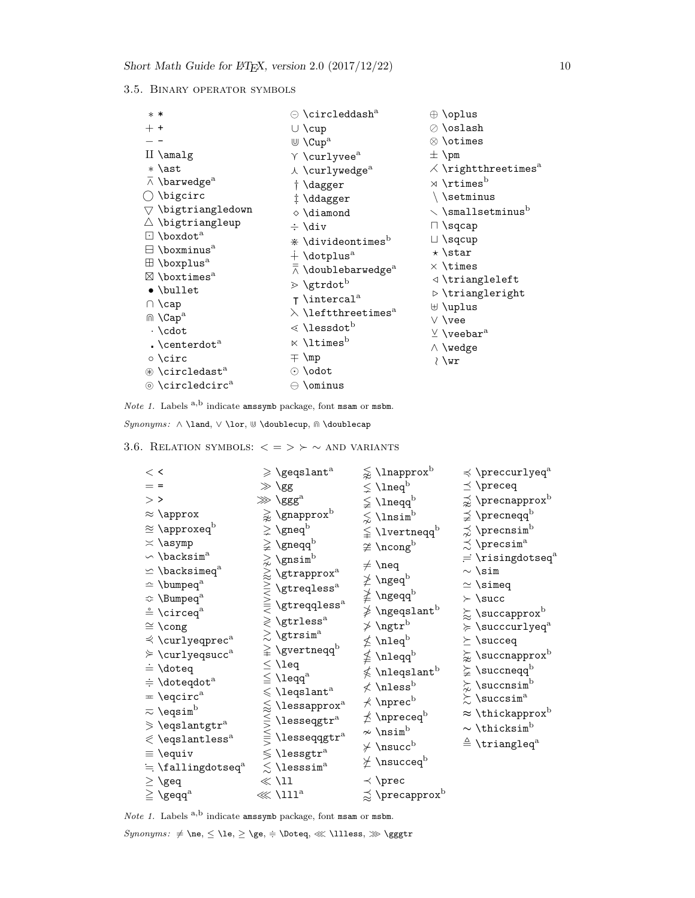### <span id="page-9-0"></span>3.5. Binary operator symbols

| $* *$                                      | $\odot$ \circleddash $^{\rm a}$                  | $\oplus \overline{\mathrm{oplus}}$     |
|--------------------------------------------|--------------------------------------------------|----------------------------------------|
| $+$ +                                      | $\cup \cup$                                      | $\oslash$ \oslash                      |
|                                            | $\mathbb U$ \Cup <sup>a</sup>                    | $\otimes$ \otimes                      |
| $II \setminus \text{amalg}$                | $\gamma$ \curlyvee <sup>a</sup>                  | $\pm$ \pm                              |
| $*$ \ast                                   | $\lambda$ \curlywedge <sup>a</sup>               | $\angle$ \rightthreetimes <sup>a</sup> |
| $\overline{\wedge}$ \barwedge <sup>a</sup> | † \dagger                                        | $\times$ \rtimes <sup>b</sup>          |
| $\bigcirc$ \bigcirc                        | #\ddagger                                        | \\setminus                             |
| $\triangledown$ \bigtriangledown           | $\diamond$ \diamond                              | $\backsim$ \smallsetminus <sup>b</sup> |
| $\triangle$ \bigtriangleup                 | $\div$ \div                                      | $\Box \$ sqcap                         |
| $\Box$ \boxdot <sup>a</sup>                | $\dot{*}$ \divideontimes <sup>b</sup>            | $\Box \$ sqcup                         |
| $\boxminus$ \boxminus <sup>a</sup>         | $+$ \dotplus <sup>a</sup>                        | $\star$ \star                          |
| $\boxplus$ \boxplus <sup>a</sup>           | $\overline{\wedge}$ \doublebarwedge <sup>a</sup> | $\times$ \times                        |
| $\boxtimes$ \boxtimes <sup>a</sup>         | $\triangleright$ \gtrdot <sup>b</sup>            | $\triangleleft$ \triangleleft          |
| $\bullet$ \bullet                          | $\tau$ \intercal <sup>a</sup>                    | $\triangleright$ \triangleright        |
| $\cap \setminus$ cap                       |                                                  | $\uplus$ \uplus                        |
| $\mathbb{R}$ \Cap <sup>a</sup>             | $\lambda$ \leftthreetimes $^{\rm a}$             | $\vee$ \vee                            |
| $\cdot \cdot \cdot$                        | $\lessdot$ \lessdot <sup>b</sup>                 | $\vee$ \veebar <sup>a</sup>            |
| . $\text{centerdot}^a$                     | $\ltimes$ \ltimes <sup>b</sup>                   | $\wedge \vee$ vedge                    |
| ⊙ \circ                                    | $\pm \mathsf{mp}$                                | $\lambda$ \wr                          |
| $\circledast$ \circledast <sup>a</sup>     | $\odot$ \odot                                    |                                        |
| $\circledcirc$ \circledcirc <sup>a</sup>   | $\ominus$ \ominus                                |                                        |
|                                            |                                                  |                                        |

Note 1. Labels  $a,b$  indicate amssymb package, font msam or msbm.

 $\emph{Symonyms: }\wedge \text{land, }\vee \text{ } \forall$  \doublecup,  $\text{ } \wedge \text{ } \wedge$  \doublecap

<span id="page-9-1"></span>

3.6. RELATION SYMBOLS:  $\langle \; = \; \rangle \; \rangle \; \sim$  AND VARIANTS

| $\lt$ $\lt$                                                 | $\geqslant$ \geqslant^a              | $\lessapprox$ \lnapprox $^{\rm b}$             | $\preccurlyeq$ \preccurlyeq <sup>a</sup> |
|-------------------------------------------------------------|--------------------------------------|------------------------------------------------|------------------------------------------|
| $=$ =                                                       | $\gg$ \gg                            | $\lneq$ \lneq $^{\rm b}$                       | $\preceq$ \preceq                        |
| $>$ >                                                       | $\gg$ \ggg <sup>a</sup>              | $\lneq$ \lneqq $^{\rm b}$                      | $\precnsim$ \precnapprox <sup>b</sup>    |
| $\approx \text{approx}$                                     | $\gtrapprox$ \gnapprox <sup>b</sup>  | $\lesssim$ \lnsim <sup>b</sup>                 | $\precneq$ \precneqq $^{\rm b}$          |
| $\approx \langle \rangle$ \approxeq <sup>b</sup>            | $\geq$ \gneq <sup>b</sup>            | $\lneqq$ \lvertneqq <sup>b</sup>               | $\precnsim$ ) \precnsim <sup>b</sup>     |
| $\asymp$ \asymp                                             | $\geq$ \gneqq <sup>b</sup>           | $\ncong \setminus \mathsf{ncong}^{\mathrm{b}}$ | $\precsim$ \precsim <sup>a</sup>         |
| $\backsim$ \backsim <sup>a</sup>                            | $\gtrsim$ \gnsim <sup>b</sup>        | $\neq \text{neg}$                              | $=$ \risingdotseq $^{\rm a}$             |
| $\leq$ \backsimeq <sup>a</sup>                              | $\gtrapprox$ \gtrapprox $^{\rm a}$   |                                                | $\sim$ \sim                              |
| $\hat{ }$ \bumpeq <sup>a</sup>                              | $\geqq$ \gtreqless <sup>a</sup>      | $\not\geq\,$ \ngeq $^{\rm b}$                  | $\simeq$ \simeq                          |
| $\Leftrightarrow$ \Bumpeq <sup>a</sup>                      | $\verb \gtreqqless s $               | $\ngeq$ \ngeqq $^{\rm b}$                      | $\succ$ \succ                            |
| $\stackrel{\circ}{=}\mathcal{\backslash} \mathsf{circle}^a$ |                                      | $\not\geqslant$ \ngeqslant $^{\rm b}$          | $\succsim$ \succapprox $^{\rm b}$        |
| $\cong \text{long}$                                         | $\geqslant$ \gtrless <sup>a</sup>    | $\ngtr^{\rm b}$                                | $\succcurlyeq$ \succcurlyeq <sup>a</sup> |
| $\preccurlyeq$ \curlyeqprec <sup>a</sup>                    | $\gtrsim$ \gtrsim <sup>a</sup>       | $\nleq \text{hleq}^b$                          | $\succeq$ \succeq                        |
| $\geq$ \curlyeqsucc <sup>a</sup>                            | $\geq$ \gvertneqq <sup>b</sup>       | $\not\leq \texttt{\textbackslash}$             | $\succapprox$ \succnapprox $^{\rm b}$    |
| $\dot{=} \text{ldoteq}$                                     | $\leq \leq$                          | $\not\leqslant$ \nleqslant $^{\rm b}$          | $\subsetneqq$ \succneqq $^{\rm b}$       |
| $\div$ \doteqdot <sup>a</sup>                               | $\leq \lambda$ leqq $^{\rm a}$       | $\not<$ \nless $^{\rm b}$                      | $\succsim$ \succnsim <sup>b</sup>        |
| $= \sqrt{q} \cdot c^a$                                      | $\leqslant$ \leqslant <sup>a</sup>   | $\not\prec$ \nprec $^{\rm b}$                  | $\succsim$ \succsim <sup>a</sup>         |
| $\overline{\sim}$ \eqsim $^{\rm b}$                         | $\lessapprox$ \lessapprox $^{\rm a}$ | $\not\preceq$ \npreceq $^{\rm b}$              | $\approx$ \thickapprox <sup>b</sup>      |
| $\geq$ \eqslantgtr <sup>a</sup>                             | $\lesssim$ \lesseqgtr $^{\rm a}$     | $\sim \lambda$                                 | $\sim$ \thicksim <sup>b</sup>            |
| $\lessdot$ \eqslantless <sup>a</sup>                        | $\leqq$ \lesseqqgtr <sup>a</sup>     | $\nsucc$ \nsucc <sup>b</sup>                   | $\triangleq$ \triangleq <sup>a</sup>     |
| $\equiv \text{Vequiv}$                                      | $\lessgtr$ \lessgtr <sup>a</sup>     |                                                |                                          |
| $= \t4allingdotseq^a$                                       | $\lesssim$ \lesssim <sup>a</sup>     | $\nsucceq$                                     |                                          |
| $\geq \geq$                                                 | $\ll$ \11                            | $\prec$ \prec                                  |                                          |
| $\geqq \{ \text{geq}^a \}$                                  | $\ll 111^a$                          | $\precapprox$ \precapprox $^{\rm b}$           |                                          |

Note 1. Labels  $a,b$  indicate amssymb package, font msam or msbm.

 $\emph{Symonyms: $\neq \leq \le} \ge, \geq \geq \setminus \text{Notes}, %$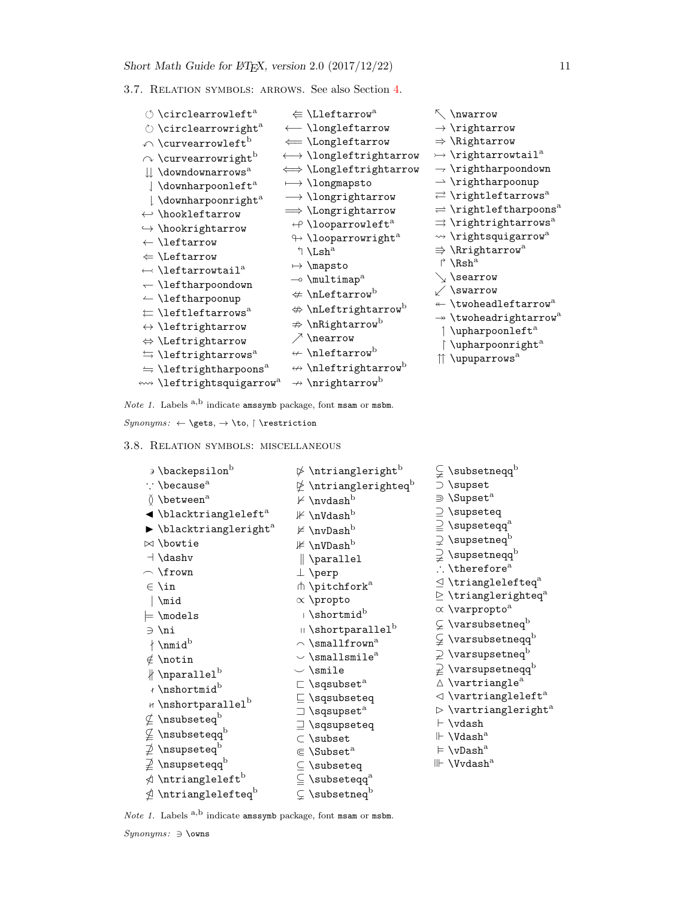<span id="page-10-0"></span>3.7. Relation symbols: arrows. See also Section [4.](#page-12-2)

| $\circlearrowleft$ \circlearrowleft <sup>a</sup>     | $\Leftarrow$ \Lleftarrow <sup>a</sup>           | $\wedge$ \nwarrow                                                         |
|------------------------------------------------------|-------------------------------------------------|---------------------------------------------------------------------------|
| $\circlearrowright$ \circlearrowright <sup>a</sup>   | ← \longleftarrow                                | $\rightarrow$ \rightarrow                                                 |
| $\curvearrowleft$ \curvearrowleft $^{\rm b}$         | $\leftarrow \text{Longleftarrow}$               | $\Rightarrow$ \Rightarrow                                                 |
| $\curvearrowright$ \curvearrowright <sup>b</sup>     | $\longleftrightarrow \text{longleft}$           | $\rightarrow$ \rightarrowtail <sup>a</sup>                                |
| $\Downarrow$ \downdownarrows <sup>a</sup>            | $\iff$ \Longleftrightarrow                      | $\rightarrow$ \rightharpoondown                                           |
| $\int \d{d}$ \downharpoonleft <sup>a</sup>           | $\longmapsto$ \longmapsto                       | $\rightarrow$ \rightharpoonup                                             |
| \downharpoonright <sup>a</sup>                       | $\longrightarrow \text{longrightarrow}$         | $\rightleftarrows$ \rightleftarrows <sup>a</sup>                          |
| $\leftrightarrow$ \hookleftarrow                     | $\implies$ \Longrightarrow                      | $\rightleftharpoons$ \rightleftharpoons <sup>a</sup>                      |
| $\hookrightarrow$ \hookrightarrow                    | $\leftrightarrow$ \looparrowleft <sup>a</sup>   | $\Rightarrow$ \rightrightarrows <sup>a</sup>                              |
| $\leftarrow$ \leftarrow                              | $\leftrightarrow$ \looparrowright <sup>a</sup>  | $\rightsquigarrow$ \rightsquigarrow <sup>a</sup>                          |
| $\Leftarrow$ \Leftarrow                              | $\uparrow$ \Lsh <sup>a</sup>                    | $\Rightarrow$ \Rrightarrow <sup>a</sup>                                   |
| $\leftrightarrow$ \leftarrowtail $^{\rm a}$          | $\mapsto$ \mapsto                               | $\uparrow$ \Rsh <sup>a</sup>                                              |
| $\leftarrow$ \leftharpoondown                        | $\sim$ \multimap <sup>a</sup>                   | $\setminus$ \searrow                                                      |
| $\leftarrow$ \leftharpoonup                          | $\Leftrightarrow$ \nLeftarrow <sup>b</sup>      | $\sqrt{}$ \swarrow                                                        |
| $\leftarrows$ \leftleftarrows <sup>a</sup>           | $\Leftrightarrow$ \nLeftrightarrow <sup>b</sup> | $\leftarrow$ \twoheadleftarrow <sup>a</sup>                               |
| $\leftrightarrow$ \leftrightarrow                    | $\Rightarrow$ \nRightarrow <sup>b</sup>         | $\rightarrow$ \twoheadrightarrow <sup>a</sup>                             |
| $\Leftrightarrow$ \Leftrightarrow                    | $\nearrow$ \nearrow                             | \upharpoonleft <sup>a</sup>                                               |
| $\leftrightarrows$ \leftrightarrows <sup>a</sup>     | $\leftarrow \text{hleftarrow}^{\text{b}}$       | $\restriction$ \upharpoonright <sup>a</sup><br>↑ \upuparrows <sup>a</sup> |
| $\leftrightharpoons$ \leftrightharpoons <sup>a</sup> | $\leftrightarrow$ \nleftrightarrow <sup>b</sup> |                                                                           |
| « \leftrightsquigarrow <sup>a</sup>                  | $\rightarrow$ \nrightarrow <sup>b</sup>         |                                                                           |

*Note 1.* Labels  $a,b$  indicate amssymb package, font msam or msbm.

 $\label{eq:subspace} Synonyms: \ \leftarrow \setminus \mathsf{sets}, \ \mathsf{restriction} \ \text{restriction}$ 

<span id="page-10-1"></span>3.8. Relation symbols: miscellaneous

| <b>)</b> \backepsilon <sup>b</sup>                     | $\uplus$ \ntriangleright $^{\rm b}$                             | $\subsetneqq$ \subsetneqq $^{\rm b}$  |
|--------------------------------------------------------|-----------------------------------------------------------------|---------------------------------------|
| $\therefore$ \because <sup>a</sup>                     | $\not\!\!\!\!\not\!\!\!\!\! \perp$ \ntrianglerighteq $^{\rm b}$ | ⊃ \supset                             |
| $\delta$ \between <sup>a</sup>                         | $\nvdash$ \nvdash $^{\rm b}$                                    | $\supset$ \Supset <sup>a</sup>        |
| $\blacktriangleleft$ \blacktriangleleft <sup>a</sup>   | $\n  \mathbb{F} \nVdash^{\rm b}$                                | $\supseteq$ \supseteq                 |
| $\blacktriangleright$ \blacktriangleright <sup>a</sup> | $\nvdash$ \nvDash <sup>b</sup>                                  | $\supseteq$ \supseteqq <sup>a</sup>   |
| $\bowtie$ \bowtie                                      | $\not\Vdash\verb \nVDash ^{b}$                                  | $\supsetneq$ \supsetneq $^{\rm b}$    |
| $\exists$ \dashv                                       | $\parallel$ \parallel                                           | $\supsetneq$ \supsetneqq $^{\rm b}$   |
| $\frown$ \frown                                        | $\perp$ \perp                                                   | $\therefore$ \therefore <sup>a</sup>  |
| $\in \{ \text{in}$                                     | ⋔ \pitchfork <sup>a</sup>                                       | $\trianglelefteq$ \trianglelef        |
| │\mid                                                  | $\propto$ \propto                                               | $\triangleright$ \trianglerig         |
| $\models \setminus \text{models}$                      | $\rightarrow$ \shortmid <sup>b</sup>                            | $\propto$ \varpropto $^{\rm a}$       |
| ∋ \ni                                                  | $\scriptstyle\rm II$ \shortparallel $^{\rm b}$                  | $\subsetneq$ \varsubsetne             |
|                                                        | $\smallfrown$ \smallfrown <sup>a</sup>                          | $\subsetneq$ \varsubsetne             |
| $\nmid$ \nmid <sup>b</sup>                             | $\vee$ \smallsmile <sup>a</sup>                                 | $\supseteq$ \varsupsetne              |
| $\notin$ \notin                                        | $\backsim$ \smile                                               | $\supseteq$ \varsupsetne              |
| $\nparallel$ \nparallel <sup>b</sup>                   | $\sqsubset \backslash$ sqsubset <sup>a</sup>                    | $\triangle$ \vartriangle              |
| $\land$ \nshortmid <sup>b</sup>                        | $\sqsubseteq$ \sqsubseteq                                       | $\triangleleft$ \vartriangle          |
| H \nshortparallel <sup>b</sup>                         | $\sqsupset$ \sqsupset <sup>a</sup>                              | $\triangleright$ \vartriangle         |
| $\not\subseteq$ \nsubseteq <sup>b</sup>                | $\supseteq$ \sqsupseteq                                         | $\vdash \forall$ vdash                |
| $\not\subseteq$ \nsubseteqq $^{\rm b}$                 | $\subset \simeq$                                                | $\Vdash \forall\mathtt{dash}^a$       |
| $\not\supseteq$ \nsupseteq $^{\rm b}$                  | $\in \S$ ubset <sup>a</sup>                                     | $\models \forall v$ Dash <sup>a</sup> |
| $\not\supseteq$ \nsupseteqq $^{\rm b}$                 | $\subseteq$ \subseteq                                           | ⊪ \Vvdash <sup>a</sup>                |
| $\phi$ \ntriangleleft <sup>b</sup>                     | $\subseteq$ \subseteqq <sup>a</sup>                             |                                       |
|                                                        | $\subsetneq$ \subsetneq <sup>b</sup>                            |                                       |
|                                                        |                                                                 |                                       |

 $\supset \mathsf{Supset}^\mathrm{a}$ ⊇ \supseteq  $\supseteq$  \supseteqq $^{\rm a}$  $\supsetneq$  \supsetneq $^{\rm b}$  $\supsetneq$  \supsetneqq $^{\rm b}$  $\left\lceil \cdot \right\rceil$  \therefore<sup>a</sup>  $\trianglelefteq$  \trianglelefteq $^{\rm a}$  $\unrhd$  \trianglerighteq<sup>a</sup>  $\propto$  \varpropto $^{\rm a}$  $\varsubsetneq$  \varsubsetneq $^{\rm b}$  $\varsubsetneqq$  \varsubsetneqq $^{\rm b}$  $\varsupseteq$  \varsupsetneq $^{\rm b}$  $\neq$  \varsupsetneqq $^{\rm b}$  $\vartriangle$  \vartriangle $^{\rm a}$  $\lhd$  \vartriangleleft $^{\rm a}$  $\triangleright$  \vartriangleright $^{\rm a}$  $\vdash \forall$ vdash  $\mathrel{\Vdash} \mathsf{V}$ dash $^\mathrm{a}$  $\models \forall v\texttt{Dash}^a$  $\mathrel{\Vdash}$  \Vvdash $^{\rm a}$ 

Note 1. Labels  $a,b$  indicate amssymb package, font msam or msbm.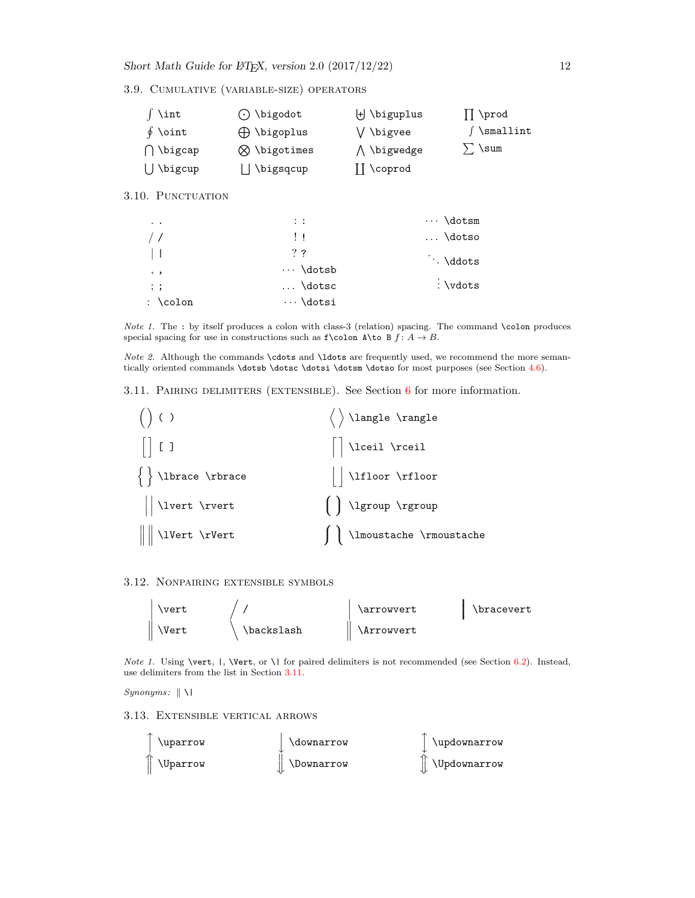Short Math Guide for  $\cancel{B_{T,X}}$ , version 2.0 (2017/12/22) 12

<span id="page-11-0"></span>3.9. Cumulative (variable-size) operators

| \int              | $\odot$ \bigodot      | $\forall$ \biguplus | \prod            |
|-------------------|-----------------------|---------------------|------------------|
| $\oint$ \oint     | $\bigoplus$ \bigoplus | V \bigvee           | $\int$ \smallint |
| $\bigcap$ \bigcap | $\otimes$ \bigotimes  | ∧ \bigwedge         | ) \sum           |
| $\bigcup$ \bigcup | ∫\bigsqcup            | $\prod$ \coprod     |                  |

<span id="page-11-1"></span>3.10. PUNCTUATION

| $\sim$ $\sim$          | $\therefore$    | $\cdots$ \dotsm |
|------------------------|-----------------|-----------------|
| $\frac{1}{2}$          | $\mathbf{1}$    | $\ldots$ \dotso |
| $\perp$                | $?$ ?           | $\cdot$ \ddots  |
| $, \cdot$              | $\cdots$ \dotsb |                 |
| $\cdot$ ;              | $\ldots$ \dotsc | : \vdots        |
| : $\colon \mathcal{L}$ | $\cdots$ \dotsi |                 |

Note 1. The : by itself produces a colon with class-3 (relation) spacing. The command  $\cdot$ colon produces special spacing for use in constructions such as  $f\colon A \to B$ .

Note 2. Although the commands \cdots and \ldots are frequently used, we recommend the more seman-tically oriented commands \dotsb \dotsc \dotsi \dotsm \dotso for most purposes (see Section [4.6\)](#page-14-0).

<span id="page-11-2"></span>3.11. PAIRING DELIMITERS (EXTENSIBLE). See Section  $6$  for more information.

| ()()                                                        | $\langle \rangle$ \langle \rangle |
|-------------------------------------------------------------|-----------------------------------|
| $\begin{array}{c} \begin{array}{c} \end{array} \end{array}$ | $\Big \Big $ \lceil \rceil        |
| $\left\{\ \right\}$ \lbrace \rbrace                         | $\vert$ \liloor \riloor           |
| $\sqrt{\phantom{a}}$                                        | $\left( \right)$ \lgroup \rgroup  |
| $\ $ \lvert \rVert                                          | \lmoustache \rmoustache           |

### <span id="page-11-3"></span>3.12. Nonpairing extensible symbols



Note 1. Using \vert,  $|$ , \Vert, or \ | for paired delimiters is not recommended (see Section [6.2\)](#page-17-0). Instead, use delimiters from the list in Section [3.11.](#page-11-2)

 $Synonyms: \|\ \$ 

<span id="page-11-4"></span>3.13. Extensible vertical arrows

| \uparrow                     | \downarrow        | \updownarrow             |
|------------------------------|-------------------|--------------------------|
| <i><u><b>Nparrow</b></u></i> | <b>\Downarrow</b> | $\parallel$ \Updownarrow |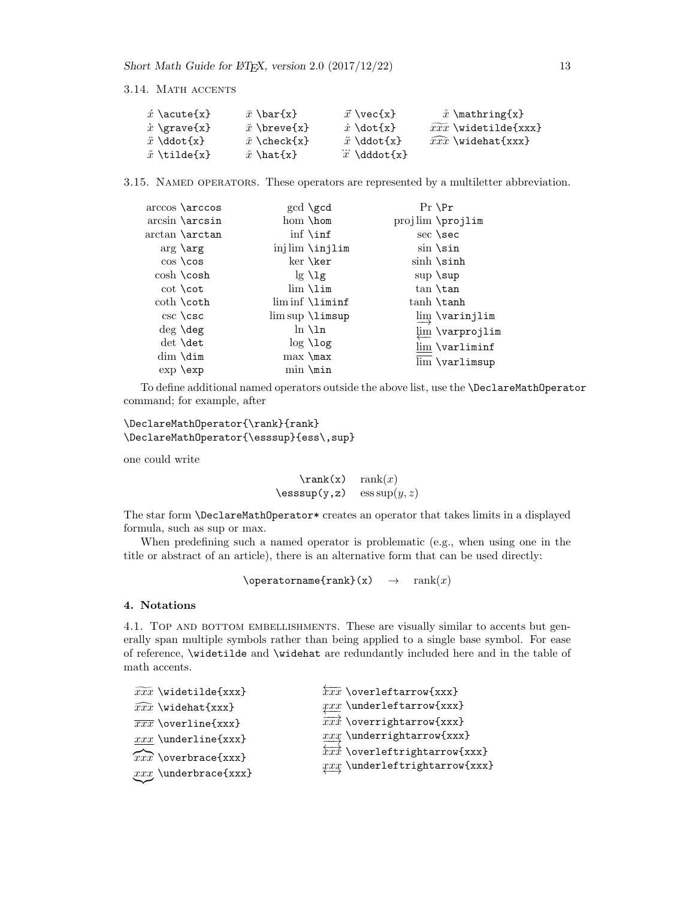#### <span id="page-12-0"></span>3.14. MATH ACCENTS

| $\acute{x}$ \acute{x} $\,$ | $\bar{x}$ \bar{x}                        | $\vec{x} \ \text{vec} \{x\}$ | $\hat{x}$ \mathring{x}            |
|----------------------------|------------------------------------------|------------------------------|-----------------------------------|
| $\hat{x}$ \grave{x}        | $\check{x}$ \breve{x}                    | $\dot{x}$ \dot{x}            | $\widetilde{xxx}$ \widetilde{xxx} |
| $\ddot{x}$ \ddot{x}        | $\check{x} \backslash \text{check}\{x\}$ | $\ddot{x}$ \ddot{x}          | $\widehat{xxx}$ \widehat{xxx}     |
| $\tilde{x}$ \tilde{x}      | $\hat{x}$ \hat {x}                       | $\dddot{x}$ \dddot{x}        |                                   |

<span id="page-12-1"></span>3.15. Named operators. These operators are represented by a multiletter abbreviation.

| $\arccos \arccos$       | $gcd \ \text{gcd}$     | $Pr \n\$                |
|-------------------------|------------------------|-------------------------|
| $arcsin \arcsin$        | hom \hom               | projlim \projlim        |
| arctan \arctan          | $\inf \setminus \inf$  | sec \sec                |
| $arg \ \arg$            | injlim \injlim         | $sin$ \sin              |
| $\cos \cos$             | ker \ker               | $\sinh \sinh$           |
| $\cosh \cosh$           | $\lg \lg$              | $\sup \ \sup$           |
| $\cot \setminus \cot$   | $\lim \ln \mathcal{L}$ | tan \tan                |
| $\coth \setminus \coth$ | $\liminf$ $\liminf$    | tanh \tanh              |
| csc \csc                | $\limsup$ $\limsup$    | $\varinjlim$ \varinjlim |
| $\deg \text{deg}$       | $\ln \ln$              | lim \varprojlim         |
| det \det                | $log$ \log             | lim \varliminf          |
| $dim \ \dim$            | $max \ \{\text{max}\}$ | lim \varlimsup          |
| $exp \exp$              | $min \ \min$           |                         |

To define additional named operators outside the above list, use the \DeclareMathOperator command; for example, after

### \DeclareMathOperator{\rank}{rank} \DeclareMathOperator{\esssup}{ess\,sup}

one could write

 $\text{rank}(x)$  rank $(x)$  $\text{lesssup}(y, z)$  ess  $\sup(y, z)$ 

The star form \DeclareMathOperator\* creates an operator that takes limits in a displayed formula, such as sup or max.

When predefining such a named operator is problematic (e.g., when using one in the title or abstract of an article), there is an alternative form that can be used directly:

 $\operatorname{rank}(x) \rightarrow \operatorname{rank}(x)$ 

### <span id="page-12-2"></span>4. Notations

<span id="page-12-3"></span>4.1. TOP AND BOTTOM EMBELLISHMENTS. These are visually similar to accents but generally span multiple symbols rather than being applied to a single base symbol. For ease of reference, \widetilde and \widehat are redundantly included here and in the table of math accents.

| $\widetilde{xxx}$ \widetilde{xxx} | $\overleftarrow{xxx}$ \overleftarrow{xxx}                                              |
|-----------------------------------|----------------------------------------------------------------------------------------|
| $\widehat{xxx}$ \widehat{xxx}     | $xxx$ \underleftarrow{xxx}                                                             |
| $\overline{xxx}$ \overline{xxx}   | $\overrightarrow{xxx}$ \overrightarrow{xxx}                                            |
| $xxx$ \underline{xxx}             | $xxx$ \underrightarrow{xxx}                                                            |
| $\widehat{xxx}$ \overbrace{xxx}   | $\overleftrightarrow{xxx}$ \overleftrightarrow{xxx}<br>$xxx$ \underleftrightarrow{xxx} |
| $xxx$ \underbrace{xxx}            |                                                                                        |
|                                   |                                                                                        |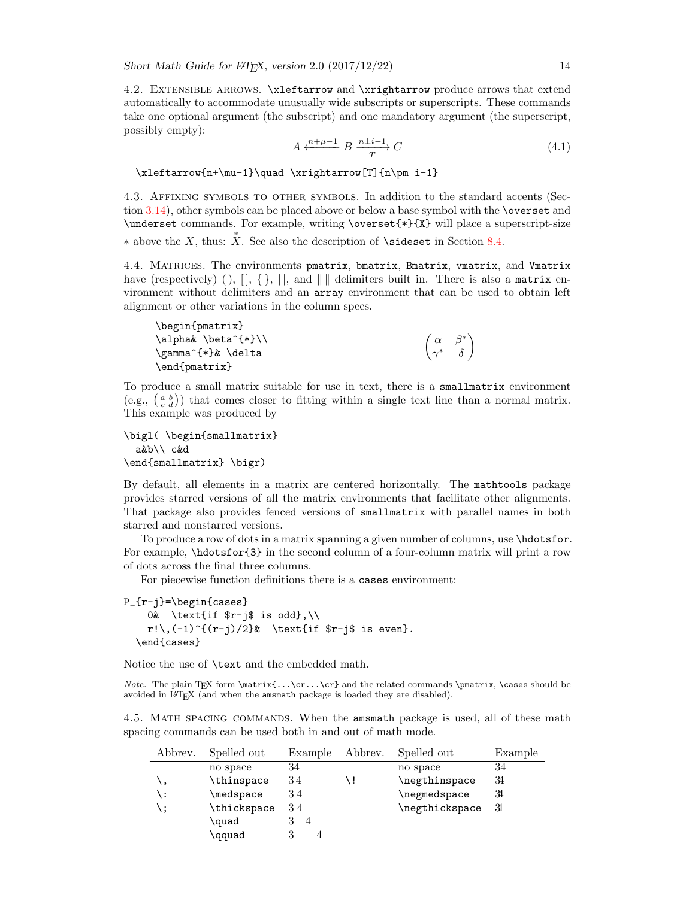<span id="page-13-0"></span>4.2. Extensible arrows. \xleftarrow and \xrightarrow produce arrows that extend automatically to accommodate unusually wide subscripts or superscripts. These commands take one optional argument (the subscript) and one mandatory argument (the superscript, possibly empty):

$$
A \xleftarrow{n+\mu-1} B \xrightarrow{T} C \tag{4.1}
$$

 $\setminus$ 

\xleftarrow{n+\mu-1}\quad \xrightarrow[T]{n\pm i-1}

<span id="page-13-1"></span>4.3. Affixing symbols to other symbols. In addition to the standard accents (Section [3.14\)](#page-12-0), other symbols can be placed above or below a base symbol with the \overset and \underset commands. For example, writing \overset{\*}{X} will place a superscript-size

\* above the X, thus:  $\stackrel{*}{X}$ . See also the description of **\sideset** in Section [8.4.](#page-18-2)

<span id="page-13-2"></span>4.4. Matrices. The environments pmatrix, bmatrix, Bmatrix, vmatrix, and Vmatrix have (respectively) (),  $[ \, ]$ ,  $[ \, ]$ ,  $[ \, ]$ , and  $\| \, \|$  delimiters built in. There is also a matrix environment without delimiters and an array environment that can be used to obtain left alignment or other variations in the column specs.

```
\begin{pmatrix}
\alpha& \beta^{*}\\
\gamma^{*}& \delta
\end{pmatrix}
                                                            \int \alpha \beta^*\gamma^* \delta
```
To produce a small matrix suitable for use in text, there is a smallmatrix environment (e.g.,  $\begin{pmatrix} a & b \\ c & d \end{pmatrix}$ ) that comes closer to fitting within a single text line than a normal matrix. This example was produced by

```
\bigl( \begin{smallmatrix}
  a&b\\ c&d
\end{smallmatrix} \bigr)
```
By default, all elements in a matrix are centered horizontally. The mathtools package provides starred versions of all the matrix environments that facilitate other alignments. That package also provides fenced versions of smallmatrix with parallel names in both starred and nonstarred versions.

To produce a row of dots in a matrix spanning a given number of columns, use \hdotsfor. For example, \hdotsfor{3} in the second column of a four-column matrix will print a row of dots across the final three columns.

For piecewise function definitions there is a cases environment:

```
P_{r-j}=\begin{cases}
    0& \text{if r-j$ is odd},\\
    r!\setminus,(-1)^{\{r-j\}/2\}\ \text{if $r-j$ is even}.
  \end{cases}
```
Notice the use of \text and the embedded math.

Note. The plain TEX form  $\mathtt{f...\cr.\,}\cr$  and the related commands  $\mathtt{max}$ , \cases should be avoided in LATEX (and when the amsmath package is loaded they are disabled).

<span id="page-13-3"></span>4.5. Math spacing commands. When the amsmath package is used, all of these math spacing commands can be used both in and out of math mode.

| Abbrev. | Spelled out | Example | Abbrev. | Spelled out    | Example |
|---------|-------------|---------|---------|----------------|---------|
|         | no space    | 34      |         | no space       | 34      |
| ١,      | \thinspace  | 34      |         | \negthinspace  | 34      |
| : \     | \medspace   | 34      |         | \negmedspace   | 34      |
| \ ;     | \thickspace | 34      |         | \negthickspace | 31      |
|         | \quad       | 4       |         |                |         |
|         | \qquad      |         |         |                |         |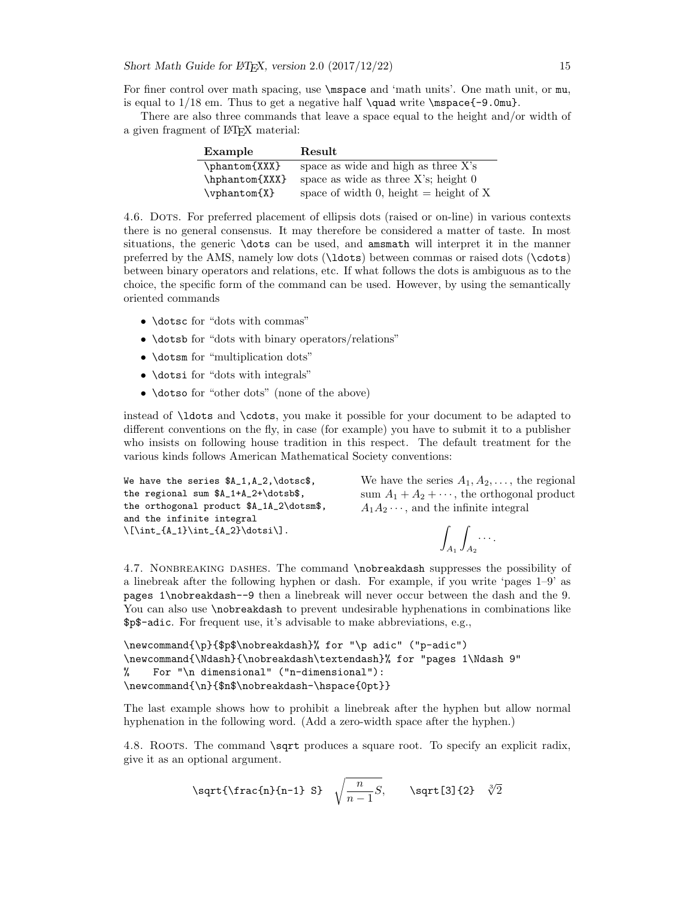For finer control over math spacing, use \mspace and 'math units'. One math unit, or mu, is equal to  $1/18$  em. Thus to get a negative half  $\quad$ wite  $\mbox{mspace}$ . Omu}.

There are also three commands that leave a space equal to the height and/or width of a given fragment of LATEX material:

| Example               | Result                                   |
|-----------------------|------------------------------------------|
| \phantom{XXX}         | space as wide and high as three X's      |
| \hphantom{XXX}        | space as wide as three $X$ 's; height 0  |
| $\verb \vphantom{X} $ | space of width 0, height $=$ height of X |

<span id="page-14-0"></span>4.6. Dots. For preferred placement of ellipsis dots (raised or on-line) in various contexts there is no general consensus. It may therefore be considered a matter of taste. In most situations, the generic \dots can be used, and amsmath will interpret it in the manner preferred by the AMS, namely low dots (\ldots) between commas or raised dots (\cdots) between binary operators and relations, etc. If what follows the dots is ambiguous as to the choice, the specific form of the command can be used. However, by using the semantically oriented commands

- **\dotsc** for "dots with commas"
- \dotsb for "dots with binary operators/relations"
- \dotsm for "multiplication dots"
- \dotsi for "dots with integrals"
- \dotso for "other dots" (none of the above)

instead of \ldots and \cdots, you make it possible for your document to be adapted to different conventions on the fly, in case (for example) you have to submit it to a publisher who insists on following house tradition in this respect. The default treatment for the various kinds follows American Mathematical Society conventions:

```
We have the series A_1, A_2, \dots,the regional sum $A_1+A_2+\dotsb$,
the orthogonal product $A_1A_2\dotsm$,
and the infinite integral
\[\int_{A_1}\int_{A_2}\dot{\delta}\].We have the series A_1, A_2, \ldots, the regional
                                                 sum A_1 + A_2 + \cdots, the orthogonal product
                                                 A_1A_2\cdots, and the infinite integral
                                                                   Z
                                                                       Z
                                                                           · · · .
```
 $A_1$ 

 $A_2$ 

<span id="page-14-1"></span>4.7. Nonbreaking dashes. The command \nobreakdash suppresses the possibility of a linebreak after the following hyphen or dash. For example, if you write 'pages 1–9' as pages 1\nobreakdash--9 then a linebreak will never occur between the dash and the 9. You can also use  $\n$ obreakdash to prevent undesirable hyphenations in combinations like \$p\$-adic. For frequent use, it's advisable to make abbreviations, e.g.,

```
\newcommand{\p}{$p$\nobreakdash}% for "\p adic" ("p-adic")
\newcommand{\Ndash}{\nobreakdash\textendash}% for "pages 1\Ndash 9"
% For "\n dimensional" ("n-dimensional"):
\newcommand{\n}{$n$\nobreakdash-\hspace{0pt}}
```
The last example shows how to prohibit a linebreak after the hyphen but allow normal hyphenation in the following word. (Add a zero-width space after the hyphen.)

<span id="page-14-2"></span>4.8. ROOTS. The command \sqrt produces a square root. To specify an explicit radix, give it as an optional argument.

\sqrt{\frac{n}{n-1}} S} 
$$
\sqrt{\frac{n}{n-1}}S
$$
, \sqrt{\sqrt{3}}2}  $\sqrt[3]{2}$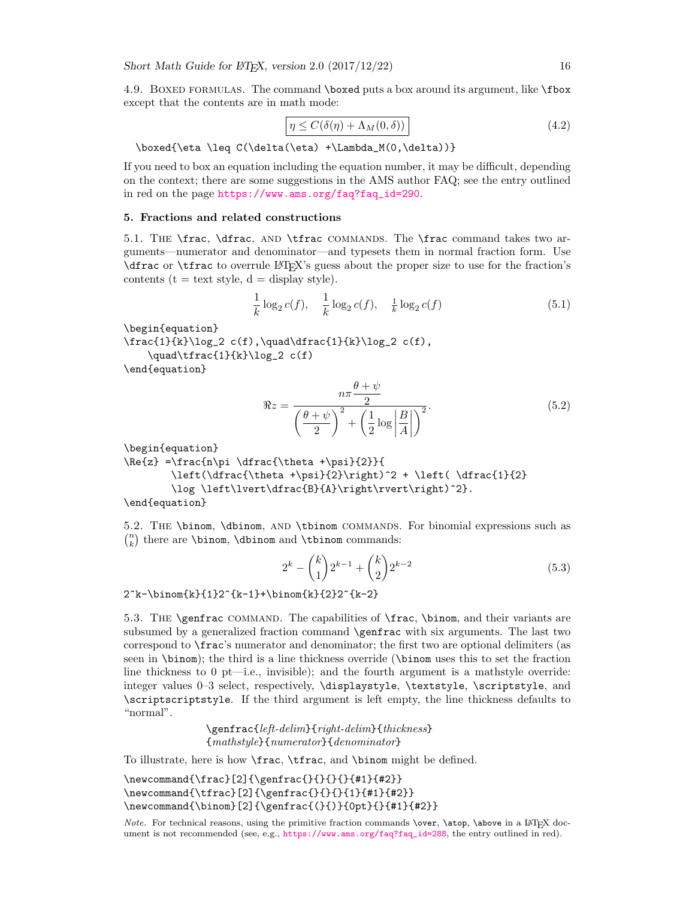<span id="page-15-0"></span>4.9. BOXED FORMULAS. The command \boxed puts a box around its argument, like \fbox except that the contents are in math mode:

$$
\boxed{\eta \le C(\delta(\eta) + \Lambda_M(0,\delta))}
$$
\n(4.2)

\boxed{\eta \leq C(\delta(\eta) +\Lambda\_M(0,\delta))}

If you need to box an equation including the equation number, it may be difficult, depending on the context; there are some suggestions in the AMS author FAQ; see the entry outlined in red on the page [https://www.ams.org/faq?faq\\_id=290](https://www.ams.org/faq?faq_id=290).

#### <span id="page-15-1"></span>5. Fractions and related constructions

<span id="page-15-2"></span>5.1. THE \frac, \dfrac, AND \tfrac COMMANDS. The \frac command takes two arguments—numerator and denominator—and typesets them in normal fraction form. Use \dfrac or \tfrac to overrule LATEX's guess about the proper size to use for the fraction's contents ( $t = text$  style,  $d = display$  style).

$$
\frac{1}{k}\log_2 c(f), \quad \frac{1}{k}\log_2 c(f), \quad \frac{1}{k}\log_2 c(f) \tag{5.1}
$$

\begin{equation}

 $\frac{1}{k}\log_2 c(f), \quad \delta^{1}\{k\}\log_2 c(f),$  $\quad\tfrac{1}{k}\log_2 c(f)$ 

\end{equation}

$$
\Re z = \frac{n\pi \frac{\theta + \psi}{2}}{\left(\frac{\theta + \psi}{2}\right)^2 + \left(\frac{1}{2}\log\left|\frac{B}{A}\right|\right)^2}.
$$
\n(5.2)

\begin{equation}

 $\Re{z} = \frac{\n\pi \dfrac{\theta + \psi}{2}}{$  $\left(\dfrac{\theta + \psi}{2}\right)^2 + \left(\dfrac{1}{2}\right)$ \log \left\lvert\dfrac{B}{A}\right\rvert\right)^2}.

\end{equation}

<span id="page-15-3"></span>5.2. THE \binom, \dbinom, AND \tbinom COMMANDS. For binomial expressions such as  $\binom{n}{k}$  there are **\binom**, **\dbinom** and **\tbinom** commands:

$$
2^{k} - {k \choose 1} 2^{k-1} + {k \choose 2} 2^{k-2}
$$
\n(5.3)

 $2^k-\binom{k}{1}2^k-k-1}+\binom{k}{2}2^k-k-2$ 

<span id="page-15-4"></span>5.3. The \genfrac command. The capabilities of \frac, \binom, and their variants are subsumed by a generalized fraction command \genfrac with six arguments. The last two correspond to \frac's numerator and denominator; the first two are optional delimiters (as seen in \binom); the third is a line thickness override (\binom uses this to set the fraction line thickness to 0 pt—i.e., invisible); and the fourth argument is a mathstyle override: integer values 0–3 select, respectively, \displaystyle, \textstyle, \scriptstyle, and \scriptscriptstyle. If the third argument is left empty, the line thickness defaults to "normal".

> \genfrac{left-delim}{right-delim}{thickness} {mathstyle}{numerator}{denominator}

To illustrate, here is how \frac, \tfrac, and \binom might be defined.

```
\newcommand{\frac}[2]{\genfrac{}{}{}{}{#1}{#2}}
\newcommand{\tfrac}[2]{\genfrac{}{}{}{1}{#1}{#2}}
\newcommand{\binom}[2]{\genfrac{(}{)}{0pt}{}{#1}{#2}}
```
Note. For technical reasons, using the primitive fraction commands  $\overline{\overline{C}}$ ,  $\overline{\overline{C}}$  above in a LATEX document is not recommended (see, e.g., [https://www.ams.org/faq?faq\\_id=288](https://www.ams.org/faq?faq_id=288), the entry outlined in red).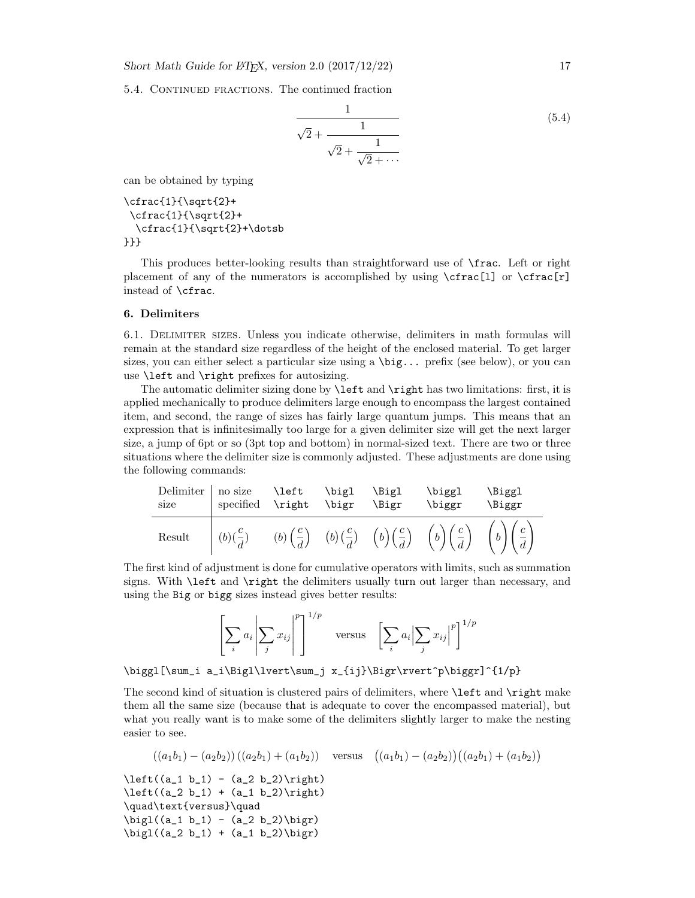<span id="page-16-0"></span>5.4. CONTINUED FRACTIONS. The continued fraction

$$
\frac{1}{\sqrt{2} + \frac{1}{\sqrt{2} + \frac{1}{\sqrt{2} + \dots}}}
$$
(5.4)

can be obtained by typing

\cfrac{1}{\sqrt{2}+ \cfrac{1}{\sqrt{2}+ \cfrac{1}{\sqrt{2}+\dotsb }}}

This produces better-looking results than straightforward use of \frac. Left or right placement of any of the numerators is accomplished by using  $\cfrac{1}{\cfrac{r}{r}}$ instead of \cfrac.

#### <span id="page-16-1"></span>6. Delimiters

<span id="page-16-2"></span>6.1. Delimiter sizes. Unless you indicate otherwise, delimiters in math formulas will remain at the standard size regardless of the height of the enclosed material. To get larger sizes, you can either select a particular size using a \big... prefix (see below), or you can use \left and \right prefixes for autosizing.

The automatic delimiter sizing done by \left and \right has two limitations: first, it is applied mechanically to produce delimiters large enough to encompass the largest contained item, and second, the range of sizes has fairly large quantum jumps. This means that an expression that is infinitesimally too large for a given delimiter size will get the next larger size, a jump of 6pt or so (3pt top and bottom) in normal-sized text. There are two or three situations where the delimiter size is commonly adjusted. These adjustments are done using the following commands:

| Delimiter   no size \left \bigl \Bigl<br>size | specified \right \bigr \Bigr |  | \biggl<br>\biggr                                                                                                                                           | \Biggl<br><b>\Biggr</b> |
|-----------------------------------------------|------------------------------|--|------------------------------------------------------------------------------------------------------------------------------------------------------------|-------------------------|
|                                               |                              |  | Result $\left( (b)(\frac{c}{d}) - (b)(\frac{c}{d}) - (b)(\frac{c}{d}) - (b)(\frac{c}{d}) - (b)(\frac{c}{d}) - (b)(\frac{c}{d}) - (b)(\frac{c}{d}) \right)$ |                         |

The first kind of adjustment is done for cumulative operators with limits, such as summation signs. With \left and \right the delimiters usually turn out larger than necessary, and using the Big or bigg sizes instead gives better results:

$$
\left[\sum_{i} a_i \left|\sum_{j} x_{ij}\right|^p\right]^{1/p} \quad \text{versus} \quad \left[\sum_{i} a_i \left|\sum_{j} x_{ij}\right|^p\right]^{1/p}
$$

\biggl[\sum\_i a\_i\Bigl\lvert\sum\_j x\_{ij}\Bigr\rvert^p\biggr]^{1/p}

The second kind of situation is clustered pairs of delimiters, where \left and \right make them all the same size (because that is adequate to cover the encompassed material), but what you really want is to make some of the delimiters slightly larger to make the nesting easier to see.

$$
((a_1b_1) - (a_2b_2))((a_2b_1) + (a_1b_2))
$$
 versus  $((a_1b_1) - (a_2b_2))((a_2b_1) + (a_1b_2))$ 

 $\left( (a_1 b_1) - (a_2 b_2) \right)$  $\left( (a_2 b_1) + (a_1 b_2) \right)$ \quad\text{versus}\quad  $\big\{(a_1 b_1) - (a_2 b_2)\big\}$  $\big\{(a_2 b_1) + (a_1 b_2)\big\}$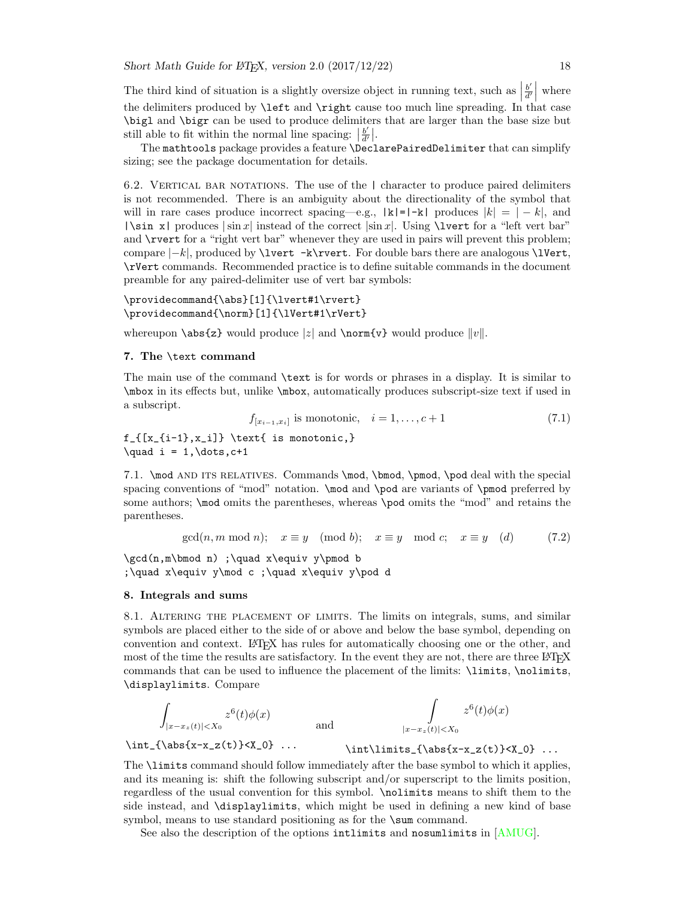The third kind of situation is a slightly oversize object in running text, such as  $\frac{b'}{d'}$ the delimiters produced by  $\left\{ \begin{array}{c} a \\ b \end{array} \right\}$  and  $\left\{ \begin{array}{c} a \\ c \end{array} \right\}$  and  $\left\{ \begin{array}{c} a \\ c \end{array} \right\}$  and  $\left\{ \begin{array}{c} a \\ c \end{array} \right\}$  $rac{b'}{d'}$ where \bigl and \bigr can be used to produce delimiters that are larger than the base size but still able to fit within the normal line spacing:  $\frac{b'}{d'}$  $\frac{b'}{d'}\Big|$ .

The mathtools package provides a feature \DeclarePairedDelimiter that can simplify sizing; see the package documentation for details.

<span id="page-17-0"></span>6.2. VERTICAL BAR NOTATIONS. The use of the | character to produce paired delimiters is not recommended. There is an ambiguity about the directionality of the symbol that will in rare cases produce incorrect spacing—e.g.,  $|k|=|-k|$  produces  $|k|=|-k|$ , and  $|\sin x|$  produces  $|\sin x|$  instead of the correct  $|\sin x|$ . Using \luent for a "left vert bar" and **\rvert** for a "right vert bar" whenever they are used in pairs will prevent this problem; compare  $|-k|$ , produced by **\lvert**  $-k\$ rvert. For double bars there are analogous **\lvert**, \rVert commands. Recommended practice is to define suitable commands in the document preamble for any paired-delimiter use of vert bar symbols:

### \providecommand{\abs}[1]{\lvert#1\rvert} \providecommand{\norm}[1]{\lVert#1\rVert}

whereupon **\abs{z}** would produce |z| and **\norm{v}** would produce  $||v||$ .

#### <span id="page-17-1"></span>7. The \text command

The main use of the command \text is for words or phrases in a display. It is similar to \mbox in its effects but, unlike \mbox, automatically produces subscript-size text if used in a subscript.

$$
f_{[x_{i-1},x_i]} \text{ is monotonic}, \quad i = 1, \dots, c+1 \tag{7.1}
$$

 $f_{[x_{i-1},x_i]}$  \text{ is monotonic,}  $\quad i = 1, \dots, c+1$ 

<span id="page-17-2"></span>7.1. \mod AND ITS RELATIVES. Commands \mod, \bmod, \pmod, \pod deal with the special spacing conventions of "mod" notation. \mod and \pod are variants of \pmod preferred by some authors; \mod omits the parentheses, whereas \pod omits the "mod" and retains the parentheses.

$$
\gcd(n, m \mod n); \quad x \equiv y \pmod{b}; \quad x \equiv y \mod c; \quad x \equiv y \pmod{d} \tag{7.2}
$$

\gcd(n,m\bmod n) ;\quad x\equiv y\pmod b ;\quad x\equiv y\mod c ;\quad x\equiv y\pod d

#### <span id="page-17-3"></span>8. Integrals and sums

<span id="page-17-4"></span>8.1. Altering the placement of limits. The limits on integrals, sums, and similar symbols are placed either to the side of or above and below the base symbol, depending on convention and context. LATEX has rules for automatically choosing one or the other, and most of the time the results are satisfactory. In the event they are not, there are three LATEX commands that can be used to influence the placement of the limits: \limits, \nolimits, \displaylimits. Compare

$$
\int_{|x-x_z(t)|\nand\n
$$
\int_{|x-x_z(t)|
$$
$$

 $\int_{\abs\{x-x_z(t)\}\langle X_0\rangle}$  ...

 $\int\limits_{\abs{x-x_z(t)}$ 

The \limits command should follow immediately after the base symbol to which it applies, and its meaning is: shift the following subscript and/or superscript to the limits position, regardless of the usual convention for this symbol. \nolimits means to shift them to the side instead, and \displaylimits, which might be used in defining a new kind of base symbol, means to use standard positioning as for the \sum command.

See also the description of the options intlimits and nosumlimits in [\[AMUG\]](#page-20-2).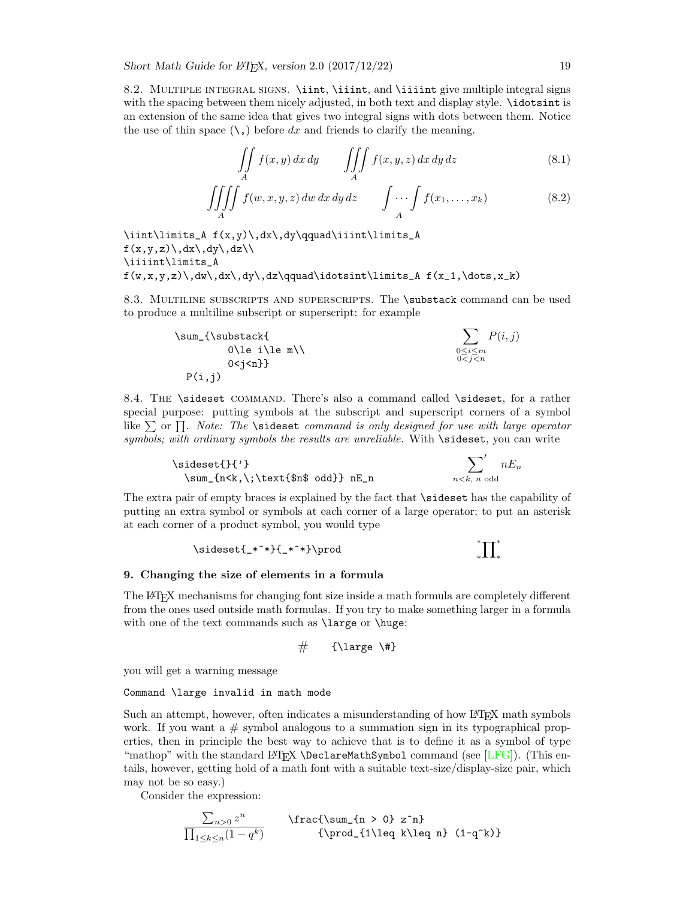<span id="page-18-0"></span>8.2. MULTIPLE INTEGRAL SIGNS. \iint, \iiint, and \iiiint give multiple integral signs with the spacing between them nicely adjusted, in both text and display style. \idotsint is an extension of the same idea that gives two integral signs with dots between them. Notice the use of thin space  $(\lambda)$ , before dx and friends to clarify the meaning.

$$
\iint\limits_A f(x,y) \, dx \, dy \qquad \iiint\limits_A f(x,y,z) \, dx \, dy \, dz \tag{8.1}
$$

$$
\iiint\limits_A f(w,x,y,z) \, dw \, dx \, dy \, dz \qquad \int \cdots \int\limits_A f(x_1,\ldots,x_k) \tag{8.2}
$$

\iint\limits\_A f(x,y)\,dx\,dy\qquad\iiint\limits\_A  $f(x,y,z)\, \, dx\, \, dy\, \, dz\, \$ \iiiint\limits\_A  $f(w,x,y,z)\,dw\,dx\,dy\,dz\qquad\idotesint\limits_{A} f(x_1,\dots,x_k)$ 

<span id="page-18-1"></span>8.3. MULTILINE SUBSCRIPTS AND SUPERSCRIPTS. The \substack command can be used to produce a multiline subscript or superscript: for example

$$
\sum_{\{\substack{\text{\\ \text{if } i \leq m \\ 0 < j < n\}}} P(i,j)
$$
\n
$$
\sum_{\substack{0 \leq i \leq m \\ 0 < j < n}} P(i,j)
$$
\n
$$
P(i,j)
$$

<span id="page-18-2"></span>8.4. The \sideset command. There's also a command called \sideset, for a rather special purpose: putting symbols at the subscript and superscript corners of a symbol like  $\sum$  or  $\prod$ . Note: The \sideset command is only designed for use with large operator symbols; with ordinary symbols the results are unreliable. With  $\simeq$  sideset, you can write

\sideset{}{'} \sum\_{n<k,\;\text{\$n\$ odd}} nE\_n

$$
\sum_{n
$$

The extra pair of empty braces is explained by the fact that \sideset has the capability of putting an extra symbol or symbols at each corner of a large operator; to put an asterisk at each corner of a product symbol, you would type

$$
\verb|\sideset{_*^*}{_{\ast^*}\propto}+
$$

### <span id="page-18-3"></span>9. Changing the size of elements in a formula

The LATEX mechanisms for changing font size inside a math formula are completely different from the ones used outside math formulas. If you try to make something larger in a formula with one of the text commands such as \large or \huge:

$$
\# \qquad {\text{\}} \qquad \text{++}
$$

you will get a warning message

#### Command \large invalid in math mode

Such an attempt, however, often indicates a misunderstanding of how LATEX math symbols work. If you want a  $\#$  symbol analogous to a summation sign in its typographical properties, then in principle the best way to achieve that is to define it as a symbol of type "mathop" with the standard LAT<sub>EX</sub> \DeclareMathSymbol command (see [\[LFG\]](#page-20-3)). (This entails, however, getting hold of a math font with a suitable text-size/display-size pair, which may not be so easy.)

Consider the expression:

$$
\frac{\sum_{n>0} z^n}{\prod_{1\leq k\leq n} (1-q^k)} \qquad \text{for all } n \leq n} (1-q^k)
$$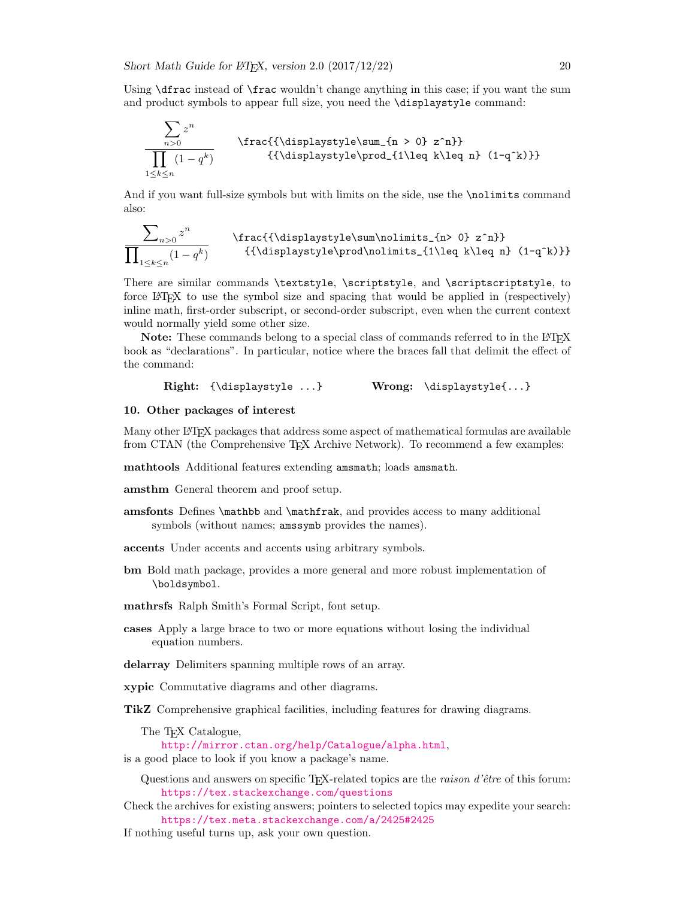Using  $\dagger$  Using  $\dagger$  and  $\dagger$  and  $\dagger$  change anything in this case; if you want the sum and product symbols to appear full size, you need the \displaystyle command:

$$
\frac{\sum z^n}{\prod (1-q^k)} \qquad \text{{\displaystyle\sum_{n>0} z^n}} \qquad \text{{\displaystyle\prod_{1\leq k\leq n} (1-q^k)} \qquad \text{{\displaystyle\prod_{1\leq k\leq n} (1-q^k)} }
$$

And if you want full-size symbols but with limits on the side, use the **\nolimits** command also:

$$
\frac{\sum_{n>0} z^n}{\text{rac}{\displaystyle\sum\{n\geq 0\}} z^n} \text{frac}{{\displaystyle\sum\{n\leq n\}} (1-q^k)} \quad \text{{{\displaystyle\sum\{n\leq n\}} (1-q^k)} }
$$

There are similar commands \textstyle, \scriptstyle, and \scriptscriptstyle, to force LATEX to use the symbol size and spacing that would be applied in (respectively) inline math, first-order subscript, or second-order subscript, even when the current context would normally yield some other size.

Note: These commands belong to a special class of commands referred to in the L<sup>AT</sup>FX book as "declarations". In particular, notice where the braces fall that delimit the effect of the command:

Right: {\displaystyle ...} Wrong: \displaystyle{...}

### <span id="page-19-0"></span>10. Other packages of interest

 $\overline{\phantom{0}}$ 

Many other LATEX packages that address some aspect of mathematical formulas are available from CTAN (the Comprehensive TEX Archive Network). To recommend a few examples:

mathtools Additional features extending amsmath; loads amsmath.

amsthm General theorem and proof setup.

- amsfonts Defines \mathbb and \mathfrak, and provides access to many additional symbols (without names; amssymb provides the names).
- accents Under accents and accents using arbitrary symbols.
- bm Bold math package, provides a more general and more robust implementation of \boldsymbol.
- mathrsfs Ralph Smith's Formal Script, font setup.
- cases Apply a large brace to two or more equations without losing the individual equation numbers.
- delarray Delimiters spanning multiple rows of an array.
- xypic Commutative diagrams and other diagrams.
- TikZ Comprehensive graphical facilities, including features for drawing diagrams.

The T<sub>EX</sub> Catalogue,

<http://mirror.ctan.org/help/Catalogue/alpha.html>,

- is a good place to look if you know a package's name.
	- Questions and answers on specific T<sub>E</sub>X-related topics are the *raison d'être* of this forum: <https://tex.stackexchange.com/questions>
- Check the archives for existing answers; pointers to selected topics may expedite your search: <https://tex.meta.stackexchange.com/a/2425#2425>
- If nothing useful turns up, ask your own question.